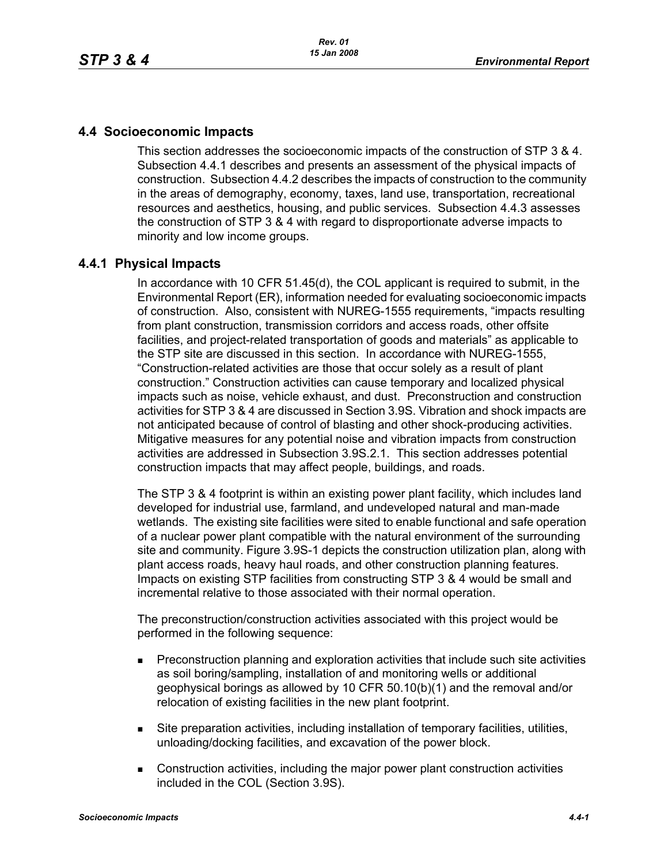# **4.4 Socioeconomic Impacts**

This section addresses the socioeconomic impacts of the construction of STP 3 & 4. Subsection 4.4.1 describes and presents an assessment of the physical impacts of [construction. Subsection 4.4.2 describes the impacts of construction to the community](http://www.hhsc.state.tx.us/about_hhsc/index.html)  in the areas of demography, economy, taxes, land use, transportation, recreational resources and aesthetics, housing, and public services. Subsection 4.4.3 assesses the construction of STP 3 & 4 with regard to disproportionate adverse impacts to minority and low income groups.

## **4.4.1 Physical Impacts**

In accordance with 10 CFR 51.45(d), the COL applicant is required to submit, in the Environmental Report (ER), information needed for evaluating socioeconomic impacts of construction. Also, consistent with NUREG-1555 requirements, "impacts resulting from plant construction, transmission corridors and access roads, other offsite facilities, and project-related transportation of goods and materials" as applicable to the STP site are discussed in this section. In accordance with NUREG-1555, "Construction-related activities are those that occur solely as a result of plant construction." Construction activities can cause temporary and localized physical impacts such as noise, vehicle exhaust, and dust. Preconstruction and construction activities for STP 3 & 4 are discussed in Section 3.9S. Vibration and shock impacts are not anticipated because of control of blasting and other shock-producing activities. Mitigative measures for any potential noise and vibration impacts from construction activities are addressed in Subsection 3.9S.2.1. This section addresses potential construction impacts that may affect people, buildings, and roads.

The STP 3 & 4 footprint is within an existing power plant facility, which includes land developed for industrial use, farmland, and undeveloped natural and man-made wetlands. The existing site facilities were sited to enable functional and safe operation of a nuclear power plant compatible with the natural environment of the surrounding site and community. Figure 3.9S-1 depicts the construction utilization plan, along with plant access roads, heavy haul roads, and other construction planning features. Impacts on existing STP facilities from constructing STP 3 & 4 would be small and incremental relative to those associated with their normal operation.

The preconstruction/construction activities associated with this project would be performed in the following sequence:

- **Preconstruction planning and exploration activities that include such site activities** as soil boring/sampling, installation of and monitoring wells or additional geophysical borings as allowed by 10 CFR 50.10(b)(1) and the removal and/or relocation of existing facilities in the new plant footprint.
- Site preparation activities, including installation of temporary facilities, utilities, unloading/docking facilities, and excavation of the power block.
- Construction activities, including the major power plant construction activities included in the COL (Section 3.9S).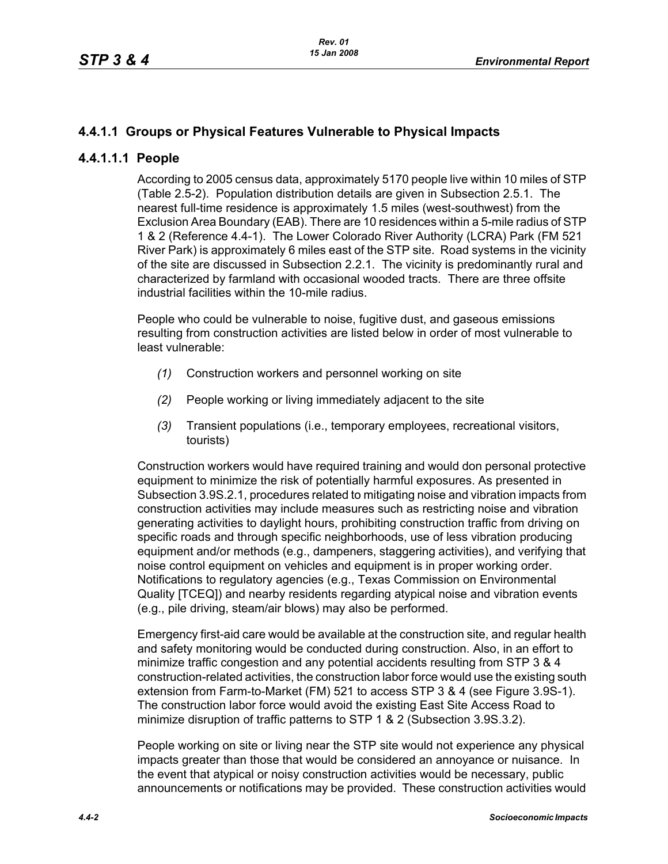# **4.4.1.1 Groups or Physical Features Vulnerable to Physical Impacts**

## **4.4.1.1.1 People**

According to 2005 census data, approximately 5170 people live within 10 miles of STP (Table 2.5-2). Population distribution details are given in Subsection 2.5.1. The nearest full-time residence is approximately 1.5 miles (west-southwest) from the Exclusion Area Boundary (EAB). There are 10 residences within a 5-mile radius of STP 1 & 2 (Reference 4.4-1). The Lower Colorado River Authority (LCRA) Park (FM 521 River Park) is approximately 6 miles east of the STP site. Road systems in the vicinity of the site are discussed in Subsection 2.2.1. The vicinity is predominantly rural and characterized by farmland with occasional wooded tracts. There are three offsite industrial facilities within the 10-mile radius.

People who could be vulnerable to noise, fugitive dust, and gaseous emissions resulting from construction activities are listed below in order of most vulnerable to least vulnerable:

- *(1)* Construction workers and personnel working on site
- *(2)* People working or living immediately adjacent to the site
- *(3)* Transient populations (i.e., temporary employees, recreational visitors, tourists)

Construction workers would have required training and would don personal protective equipment to minimize the risk of potentially harmful exposures. As presented in Subsection 3.9S.2.1, procedures related to mitigating noise and vibration impacts from construction activities may include measures such as restricting noise and vibration generating activities to daylight hours, prohibiting construction traffic from driving on specific roads and through specific neighborhoods, use of less vibration producing equipment and/or methods (e.g., dampeners, staggering activities), and verifying that noise control equipment on vehicles and equipment is in proper working order. Notifications to regulatory agencies (e.g., Texas Commission on Environmental Quality [TCEQ]) and nearby residents regarding atypical noise and vibration events (e.g., pile driving, steam/air blows) may also be performed.

Emergency first-aid care would be available at the construction site, and regular health and safety monitoring would be conducted during construction. Also, in an effort to minimize traffic congestion and any potential accidents resulting from STP 3 & 4 construction-related activities, the construction labor force would use the existing south extension from Farm-to-Market (FM) 521 to access STP 3 & 4 (see Figure 3.9S-1). The construction labor force would avoid the existing East Site Access Road to minimize disruption of traffic patterns to STP 1 & 2 (Subsection 3.9S.3.2).

People working on site or living near the STP site would not experience any physical impacts greater than those that would be considered an annoyance or nuisance. In the event that atypical or noisy construction activities would be necessary, public announcements or notifications may be provided. These construction activities would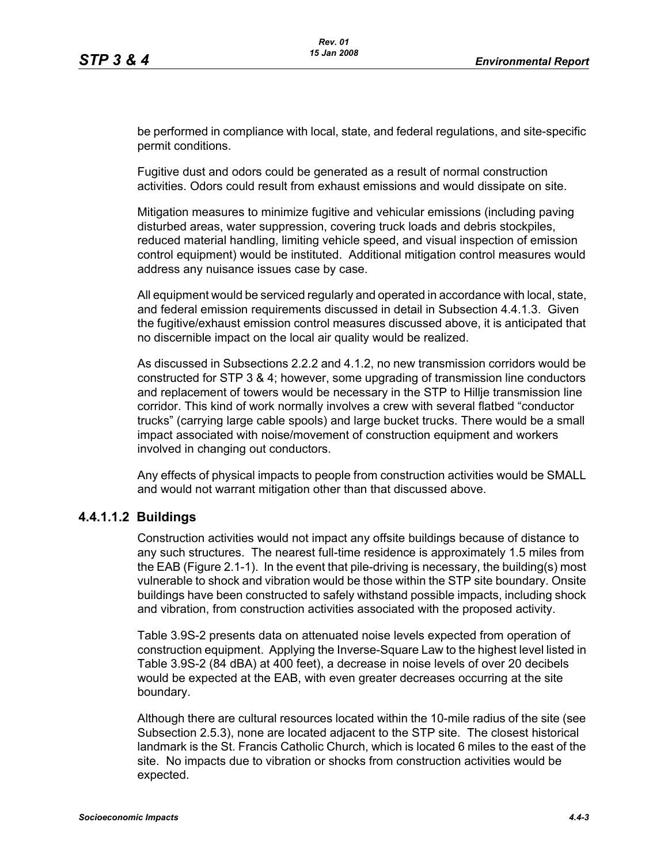be performed in compliance with local, state, and federal regulations, and site-specific permit conditions.

Fugitive dust and odors could be generated as a result of normal construction activities. Odors could result from exhaust emissions and would dissipate on site.

Mitigation measures to minimize fugitive and vehicular emissions (including paving disturbed areas, water suppression, covering truck loads and debris stockpiles, reduced material handling, limiting vehicle speed, and visual inspection of emission control equipment) would be instituted. Additional mitigation control measures would address any nuisance issues case by case.

All equipment would be serviced regularly and operated in accordance with local, state, and federal emission requirements discussed in detail in Subsection 4.4.1.3. Given the fugitive/exhaust emission control measures discussed above, it is anticipated that no discernible impact on the local air quality would be realized.

As discussed in Subsections 2.2.2 and 4.1.2, no new transmission corridors would be constructed for STP 3 & 4; however, some upgrading of transmission line conductors and replacement of towers would be necessary in the STP to Hillje transmission line corridor. This kind of work normally involves a crew with several flatbed "conductor trucks" (carrying large cable spools) and large bucket trucks. There would be a small impact associated with noise/movement of construction equipment and workers involved in changing out conductors.

Any effects of physical impacts to people from construction activities would be SMALL and would not warrant mitigation other than that discussed above.

### **4.4.1.1.2 Buildings**

Construction activities would not impact any offsite buildings because of distance to any such structures. The nearest full-time residence is approximately 1.5 miles from the EAB (Figure 2.1-1). In the event that pile-driving is necessary, the building(s) most vulnerable to shock and vibration would be those within the STP site boundary. Onsite buildings have been constructed to safely withstand possible impacts, including shock and vibration, from construction activities associated with the proposed activity.

Table 3.9S-2 presents data on attenuated noise levels expected from operation of construction equipment. Applying the Inverse-Square Law to the highest level listed in Table 3.9S-2 (84 dBA) at 400 feet), a decrease in noise levels of over 20 decibels would be expected at the EAB, with even greater decreases occurring at the site boundary.

Although there are cultural resources located within the 10-mile radius of the site (see Subsection 2.5.3), none are located adjacent to the STP site. The closest historical landmark is the St. Francis Catholic Church, which is located 6 miles to the east of the site. No impacts due to vibration or shocks from construction activities would be expected.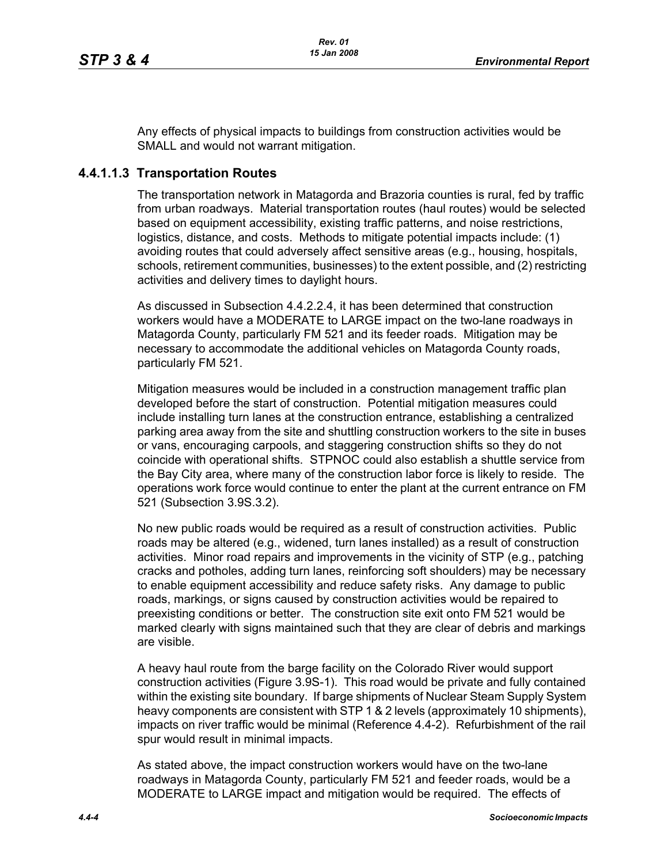Any effects of physical impacts to buildings from construction activities would be SMALL and would not warrant mitigation.

## **4.4.1.1.3 Transportation Routes**

The transportation network in Matagorda and Brazoria counties is rural, fed by traffic from urban roadways. Material transportation routes (haul routes) would be selected based on equipment accessibility, existing traffic patterns, and noise restrictions, logistics, distance, and costs. Methods to mitigate potential impacts include: (1) avoiding routes that could adversely affect sensitive areas (e.g., housing, hospitals, schools, retirement communities, businesses) to the extent possible, and (2) restricting activities and delivery times to daylight hours.

As discussed in Subsection 4.4.2.2.4, it has been determined that construction workers would have a MODERATE to LARGE impact on the two-lane roadways in Matagorda County, particularly FM 521 and its feeder roads. Mitigation may be necessary to accommodate the additional vehicles on Matagorda County roads, particularly FM 521.

Mitigation measures would be included in a construction management traffic plan developed before the start of construction. Potential mitigation measures could include installing turn lanes at the construction entrance, establishing a centralized parking area away from the site and shuttling construction workers to the site in buses or vans, encouraging carpools, and staggering construction shifts so they do not coincide with operational shifts. STPNOC could also establish a shuttle service from the Bay City area, where many of the construction labor force is likely to reside. The operations work force would continue to enter the plant at the current entrance on FM 521 (Subsection 3.9S.3.2).

No new public roads would be required as a result of construction activities. Public roads may be altered (e.g., widened, turn lanes installed) as a result of construction activities. Minor road repairs and improvements in the vicinity of STP (e.g., patching cracks and potholes, adding turn lanes, reinforcing soft shoulders) may be necessary to enable equipment accessibility and reduce safety risks. Any damage to public roads, markings, or signs caused by construction activities would be repaired to preexisting conditions or better. The construction site exit onto FM 521 would be marked clearly with signs maintained such that they are clear of debris and markings are visible.

A heavy haul route from the barge facility on the Colorado River would support construction activities (Figure 3.9S-1). This road would be private and fully contained within the existing site boundary. If barge shipments of Nuclear Steam Supply System heavy components are consistent with STP 1 & 2 levels (approximately 10 shipments), impacts on river traffic would be minimal (Reference 4.4-2). Refurbishment of the rail spur would result in minimal impacts.

As stated above, the impact construction workers would have on the two-lane roadways in Matagorda County, particularly FM 521 and feeder roads, would be a MODERATE to LARGE impact and mitigation would be required. The effects of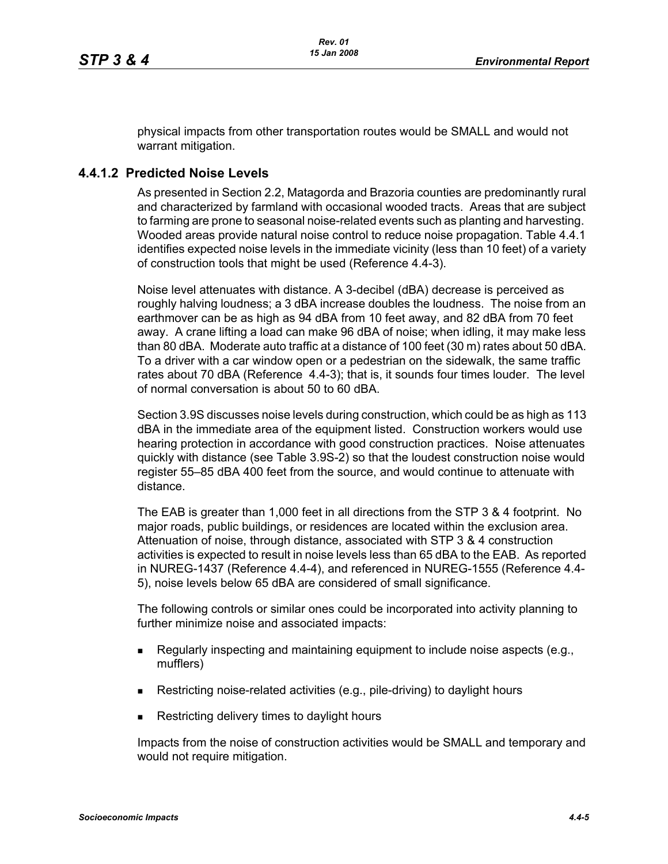physical impacts from other transportation routes would be SMALL and would not warrant mitigation.

# **4.4.1.2 Predicted Noise Levels**

As presented in Section 2.2, Matagorda and Brazoria counties are predominantly rural and characterized by farmland with occasional wooded tracts. Areas that are subject to farming are prone to seasonal noise-related events such as planting and harvesting. Wooded areas provide natural noise control to reduce noise propagation. Table 4.4.1 identifies expected noise levels in the immediate vicinity (less than 10 feet) of a variety of construction tools that might be used (Reference 4.4-3).

Noise level attenuates with distance. A 3-decibel (dBA) decrease is perceived as roughly halving loudness; a 3 dBA increase doubles the loudness. The noise from an earthmover can be as high as 94 dBA from 10 feet away, and 82 dBA from 70 feet away. A crane lifting a load can make 96 dBA of noise; when idling, it may make less than 80 dBA. Moderate auto traffic at a distance of 100 feet (30 m) rates about 50 dBA. To a driver with a car window open or a pedestrian on the sidewalk, the same traffic rates about 70 dBA (Reference 4.4-3); that is, it sounds four times louder. The level of normal conversation is about 50 to 60 dBA.

Section 3.9S discusses noise levels during construction, which could be as high as 113 dBA in the immediate area of the equipment listed. Construction workers would use hearing protection in accordance with good construction practices. Noise attenuates quickly with distance (see Table 3.9S-2) so that the loudest construction noise would register 55–85 dBA 400 feet from the source, and would continue to attenuate with distance.

The EAB is greater than 1,000 feet in all directions from the STP 3 & 4 footprint. No major roads, public buildings, or residences are located within the exclusion area. Attenuation of noise, through distance, associated with STP 3 & 4 construction activities is expected to result in noise levels less than 65 dBA to the EAB. As reported in NUREG-1437 (Reference 4.4-4), and referenced in NUREG-1555 (Reference 4.4- 5), noise levels below 65 dBA are considered of small significance.

The following controls or similar ones could be incorporated into activity planning to further minimize noise and associated impacts:

- Regularly inspecting and maintaining equipment to include noise aspects (e.g., mufflers)
- Restricting noise-related activities (e.g., pile-driving) to daylight hours
- Restricting delivery times to daylight hours

Impacts from the noise of construction activities would be SMALL and temporary and would not require mitigation.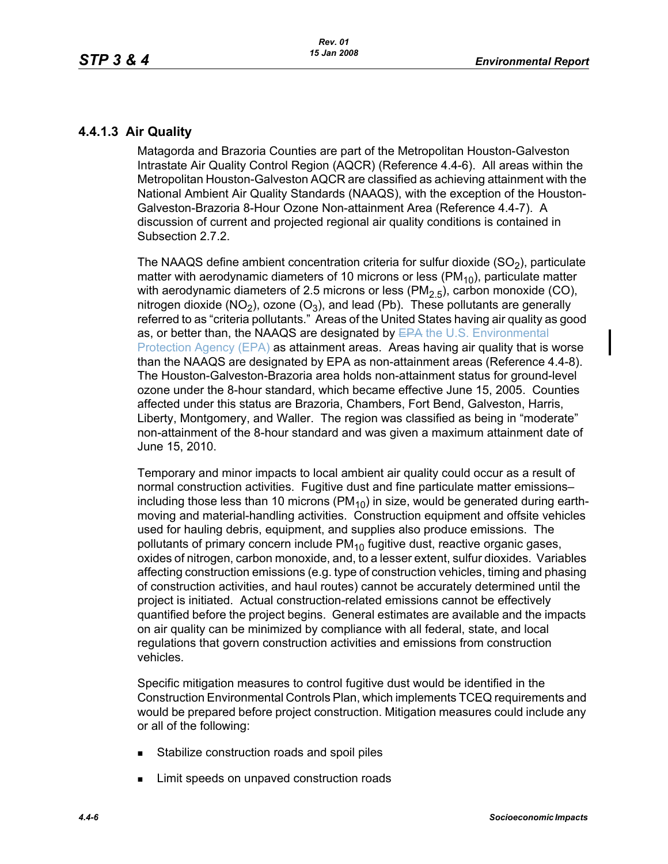# **4.4.1.3 Air Quality**

Matagorda and Brazoria Counties are part of the Metropolitan Houston-Galveston Intrastate Air Quality Control Region (AQCR) (Reference 4.4-6). All areas within the Metropolitan Houston-Galveston AQCR are classified as achieving attainment with the National Ambient Air Quality Standards (NAAQS), with the exception of the Houston-Galveston-Brazoria 8-Hour Ozone Non-attainment Area (Reference 4.4-7). A discussion of current and projected regional air quality conditions is contained in Subsection 2.7.2.

The NAAQS define ambient concentration criteria for sulfur dioxide  $(SO<sub>2</sub>)$ , particulate matter with aerodynamic diameters of 10 microns or less ( $PM_{10}$ ), particulate matter with aerodynamic diameters of 2.5 microns or less ( $PM<sub>2.5</sub>$ ), carbon monoxide (CO), nitrogen dioxide (NO<sub>2</sub>), ozone (O<sub>3</sub>), and lead (Pb). These pollutants are generally referred to as "criteria pollutants." Areas of the United States having air quality as good as, or better than, the NAAQS are designated by EPA the U.S. Environmental Protection Agency (EPA) as attainment areas. Areas having air quality that is worse than the NAAQS are designated by EPA as non-attainment areas (Reference 4.4-8). The Houston-Galveston-Brazoria area holds non-attainment status for ground-level ozone under the 8-hour standard, which became effective June 15, 2005. Counties affected under this status are Brazoria, Chambers, Fort Bend, Galveston, Harris, Liberty, Montgomery, and Waller. The region was classified as being in "moderate" non-attainment of the 8-hour standard and was given a maximum attainment date of June 15, 2010.

Temporary and minor impacts to local ambient air quality could occur as a result of normal construction activities. Fugitive dust and fine particulate matter emissions– including those less than 10 microns ( $PM_{10}$ ) in size, would be generated during earthmoving and material-handling activities. Construction equipment and offsite vehicles used for hauling debris, equipment, and supplies also produce emissions. The pollutants of primary concern include  $PM_{10}$  fugitive dust, reactive organic gases, oxides of nitrogen, carbon monoxide, and, to a lesser extent, sulfur dioxides. Variables affecting construction emissions (e.g. type of construction vehicles, timing and phasing of construction activities, and haul routes) cannot be accurately determined until the project is initiated. Actual construction-related emissions cannot be effectively quantified before the project begins. General estimates are available and the impacts on air quality can be minimized by compliance with all federal, state, and local regulations that govern construction activities and emissions from construction vehicles.

Specific mitigation measures to control fugitive dust would be identified in the Construction Environmental Controls Plan, which implements TCEQ requirements and would be prepared before project construction. Mitigation measures could include any or all of the following:

- **Stabilize construction roads and spoil piles**
- **EXECUTE:** Limit speeds on unpaved construction roads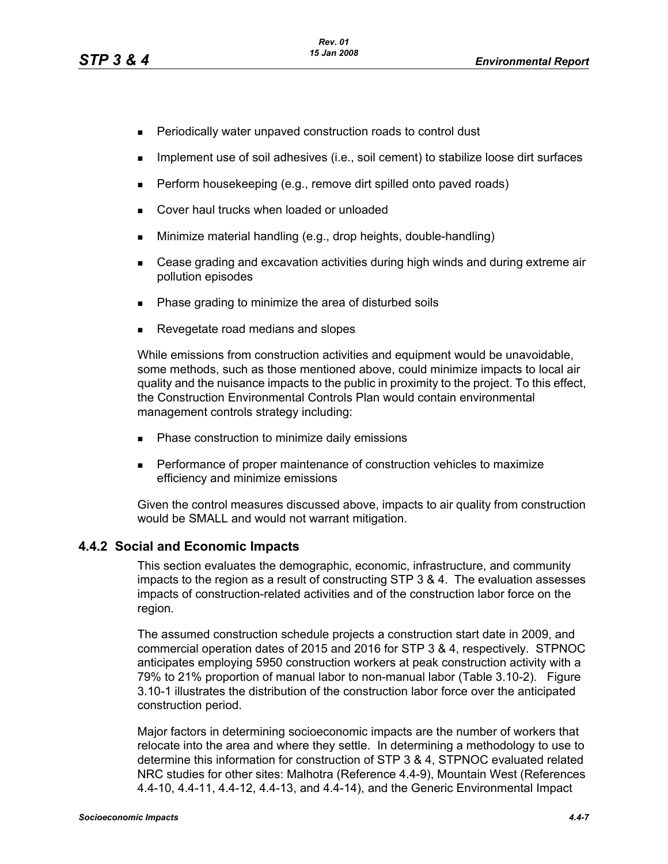- **Periodically water unpaved construction roads to control dust**
- **IMPLEMENT USE OF SOIL ADDES** (i.e., soil cement) to stabilize loose dirt surfaces
- $\blacksquare$  Perform housekeeping (e.g., remove dirt spilled onto paved roads)
- **Cover haul trucks when loaded or unloaded**
- Minimize material handling (e.g., drop heights, double-handling)
- Cease grading and excavation activities during high winds and during extreme air pollution episodes
- Phase grading to minimize the area of disturbed soils
- Revegetate road medians and slopes

While emissions from construction activities and equipment would be unavoidable, some methods, such as those mentioned above, could minimize impacts to local air quality and the nuisance impacts to the public in proximity to the project. To this effect, the Construction Environmental Controls Plan would contain environmental management controls strategy including:

- **Phase construction to minimize daily emissions**
- **Performance of proper maintenance of construction vehicles to maximize** efficiency and minimize emissions

[Given the control measures discussed above, impacts to air quality from construction](http://factfinder.census.gov/)  would be SMALL and would not warrant mitigation.

### **4.4.2 Social and Economic Impacts**

This section evaluates the demographic, economic, infrastructure, and community impacts to the region as a result of constructing STP 3 & 4. The evaluation assesses impacts of construction-related activities and of the construction labor force on the region.

The assumed construction schedule projects a construction start date in 2009, and commercial operation dates of 2015 and 2016 for STP 3 & 4, respectively. STPNOC anticipates employing 5950 construction workers at peak construction activity with a 79% to 21% proportion of manual labor to non-manual labor (Table 3.10-2). Figure 3.10-1 illustrates the distribution of the construction labor force over the anticipated construction period.

[Major factors in determining socioeconomic impacts are the number of workers that](http://factfinder.census.gov/)  relocate into the area and where they settle. In determining a methodology to use to determine this information for construction of STP 3 & 4, STPNOC evaluated related [NRC studies for other sites: Malhotra \(Reference 4.4-9\), Mountain West \(References](http://factfinder.census.gov/)  [4.4-10, 4.4-11, 4.4-12, 4.4-13, and 4.4-14\), and the Generic Environmental Impact](http://factfinder.census.gov/)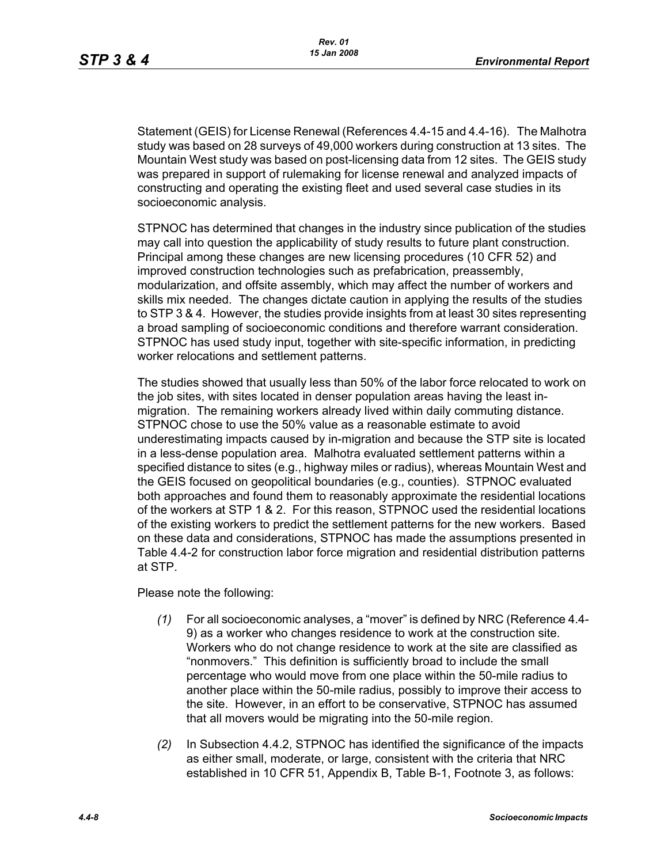[Statement \(GEIS\) for License Renewal \(References 4.4-15 and 4.4-16\). The Malhotra](http://factfinder.census.gov/)  study was based on 28 surveys of 49,000 workers during construction at 13 sites. The Mountain West study was based on post-licensing data from 12 sites. The GEIS study was prepared in support of rulemaking for license renewal and analyzed impacts of constructing and operating the existing fleet and used several case studies in its socioeconomic analysis.

STPNOC has determined that changes in the industry since publication of the studies may call into question the applicability of study results to future plant construction. Principal among these changes are new licensing procedures (10 CFR 52) and improved construction technologies such as prefabrication, preassembly, modularization, and offsite assembly, which may affect the number of workers and skills mix needed. The changes dictate caution in applying the results of the studies to STP 3 & 4. However, the studies provide insights from at least 30 sites representing a broad sampling of socioeconomic conditions and therefore warrant consideration. STPNOC has used study input, together with site-specific information, in predicting worker relocations and settlement patterns.

The studies showed that usually less than 50% of the labor force relocated to work on the job sites, with sites located in denser population areas having the least inmigration. The remaining workers already lived within daily commuting distance. STPNOC chose to use the 50% value as a reasonable estimate to avoid underestimating impacts caused by in-migration and because the STP site is located in a less-dense population area. Malhotra evaluated settlement patterns within a specified distance to sites (e.g., highway miles or radius), whereas Mountain West and the GEIS focused on geopolitical boundaries (e.g., counties). STPNOC evaluated both approaches and found them to reasonably approximate the residential locations of the workers at STP 1 & 2. For this reason, STPNOC used the residential locations of the existing workers to predict the settlement patterns for the new workers. Based on these data and considerations, STPNOC has made the assumptions presented in Table 4.4-2 for construction labor force migration and residential distribution patterns at STP.

Please note the following:

- *(1)* For all socioeconomic analyses, a "mover" is defined by NRC (Reference 4.4- 9) as a worker who changes residence to work at the construction site. Workers who do not change residence to work at the site are classified as "nonmovers." This definition is sufficiently broad to include the small percentage who would move from one place within the 50-mile radius to another place within the 50-mile radius, possibly to improve their access to the site. However, in an effort to be conservative, STPNOC has assumed that all movers would be migrating into the 50-mile region.
- *(2)* In Subsection 4.4.2, STPNOC has identified the significance of the impacts as either small, moderate, or large, consistent with the criteria that NRC established in 10 CFR 51, Appendix B, Table B-1, Footnote 3, as follows: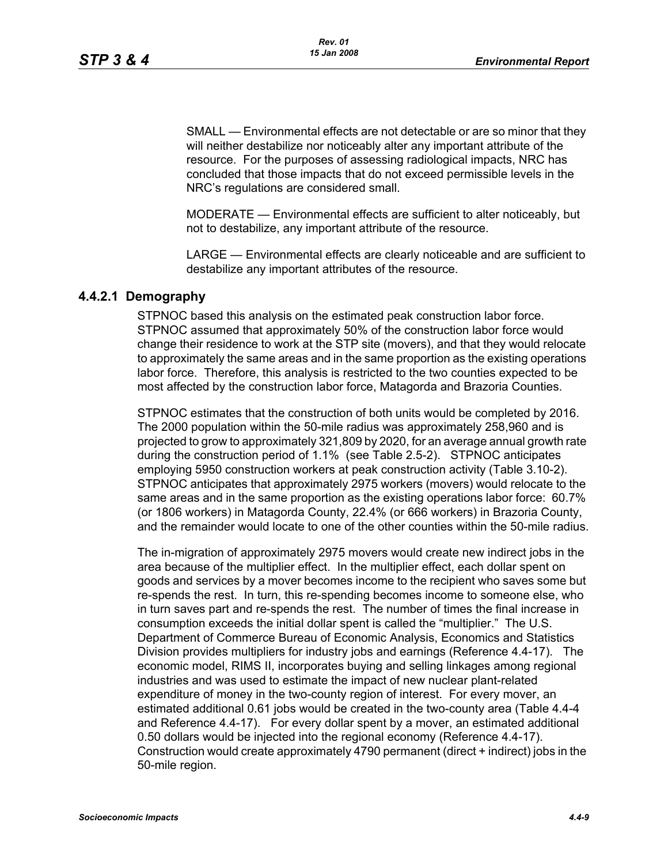SMALL — Environmental effects are not detectable or are so minor that they will neither destabilize nor noticeably alter any important attribute of the resource. For the purposes of assessing radiological impacts, NRC has concluded that those impacts that do not exceed permissible levels in the NRC's regulations are considered small.

MODERATE — Environmental effects are sufficient to alter noticeably, but not to destabilize, any important attribute of the resource.

LARGE — Environmental effects are clearly noticeable and are sufficient to destabilize any important attributes of the resource.

#### **4.4.2.1 Demography**

STPNOC based this analysis on the estimated peak construction labor force. STPNOC assumed that approximately 50% of the construction labor force would change their residence to work at the STP site (movers), and that they would relocate to approximately the same areas and in the same proportion as the existing operations labor force. Therefore, this analysis is restricted to the two counties expected to be most affected by the construction labor force, Matagorda and Brazoria Counties.

STPNOC estimates that the construction of both units would be completed by 2016. The 2000 population within the 50-mile radius was approximately 258,960 and is projected to grow to approximately 321,809 by 2020, for an average annual growth rate during the construction period of 1.1% (see Table 2.5-2). STPNOC anticipates employing 5950 construction workers at peak construction activity (Table 3.10-2). STPNOC anticipates that approximately 2975 workers (movers) would relocate to the same areas and in the same proportion as the existing operations labor force: 60.7% (or 1806 workers) in Matagorda County, 22.4% (or 666 workers) in Brazoria County, and the remainder would locate to one of the other counties within the 50-mile radius.

The in-migration of approximately 2975 movers would create new indirect jobs in the area because of the multiplier effect. In the multiplier effect, each dollar spent on goods and services by a mover becomes income to the recipient who saves some but re-spends the rest. In turn, this re-spending becomes income to someone else, who in turn saves part and re-spends the rest. The number of times the final increase in consumption exceeds the initial dollar spent is called the "multiplier." The U.S. Department of Commerce Bureau of Economic Analysis, Economics and Statistics Division provides multipliers for industry jobs and earnings (Reference 4.4-17). The economic model, RIMS II, incorporates buying and selling linkages among regional industries and was used to estimate the impact of new nuclear plant-related expenditure of money in the two-county region of interest. For every mover, an estimated additional 0.61 jobs would be created in the two-county area (Table 4.4-4 and Reference 4.4-17). For every dollar spent by a mover, an estimated additional 0.50 dollars would be injected into the regional economy (Reference 4.4-17). Construction would create approximately 4790 permanent (direct + indirect) jobs in the 50-mile region.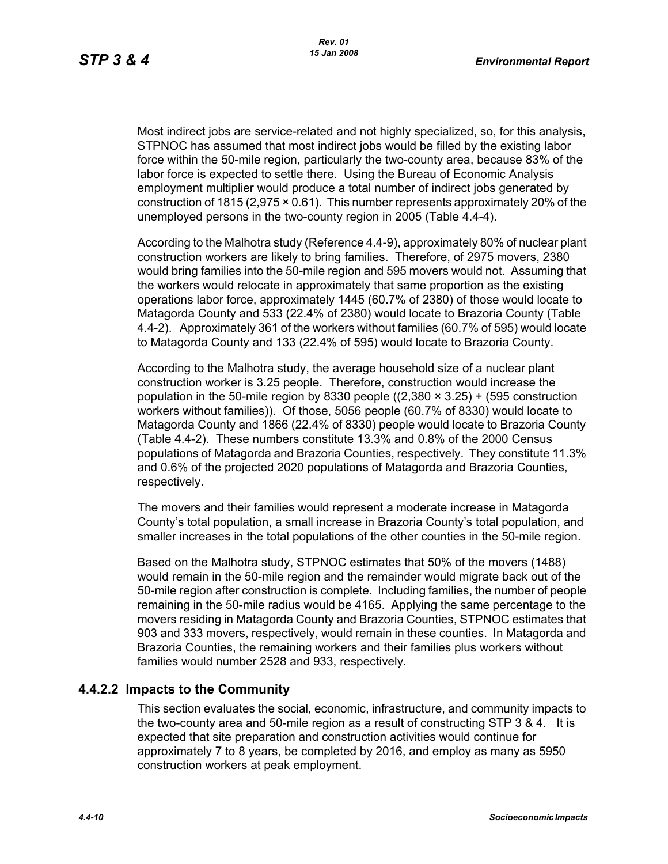Most indirect jobs are service-related and not highly specialized, so, for this analysis, STPNOC has assumed that most indirect jobs would be filled by the existing labor force within the 50-mile region, particularly the two-county area, because 83% of the labor force is expected to settle there. Using the Bureau of Economic Analysis employment multiplier would produce a total number of indirect jobs generated by construction of 1815 (2,975 × 0.61). This number represents approximately 20% of the unemployed persons in the two-county region in 2005 (Table 4.4-4).

According to the Malhotra study (Reference 4.4-9), approximately 80% of nuclear plant construction workers are likely to bring families. Therefore, of 2975 movers, 2380 would bring families into the 50-mile region and 595 movers would not. Assuming that the workers would relocate in approximately that same proportion as the existing operations labor force, approximately 1445 (60.7% of 2380) of those would locate to Matagorda County and 533 (22.4% of 2380) would locate to Brazoria County (Table 4.4-2). Approximately 361 of the workers without families (60.7% of 595) would locate to Matagorda County and 133 (22.4% of 595) would locate to Brazoria County.

According to the Malhotra study, the average household size of a nuclear plant construction worker is 3.25 people. Therefore, construction would increase the population in the 50-mile region by 8330 people  $((2,380 \times 3.25) + (595$  construction workers without families)). Of those, 5056 people (60.7% of 8330) would locate to Matagorda County and 1866 (22.4% of 8330) people would locate to Brazoria County (Table 4.4-2). These numbers constitute 13.3% and 0.8% of the 2000 Census populations of Matagorda and Brazoria Counties, respectively. They constitute 11.3% and 0.6% of the projected 2020 populations of Matagorda and Brazoria Counties, respectively.

The movers and their families would represent a moderate increase in Matagorda County's total population, a small increase in Brazoria County's total population, and smaller increases in the total populations of the other counties in the 50-mile region.

Based on the Malhotra study, STPNOC estimates that 50% of the movers (1488) would remain in the 50-mile region and the remainder would migrate back out of the 50-mile region after construction is complete. Including families, the number of people remaining in the 50-mile radius would be 4165. Applying the same percentage to the movers residing in Matagorda County and Brazoria Counties, STPNOC estimates that 903 and 333 movers, respectively, would remain in these counties. In Matagorda and Brazoria Counties, the remaining workers and their families plus workers without families would number 2528 and 933, respectively.

### **4.4.2.2 Impacts to the Community**

This section evaluates the social, economic, infrastructure, and community impacts to the two-county area and 50-mile region as a result of constructing STP 3 & 4. It is expected that site preparation and construction activities would continue for approximately 7 to 8 years, be completed by 2016, and employ as many as 5950 construction workers at peak employment.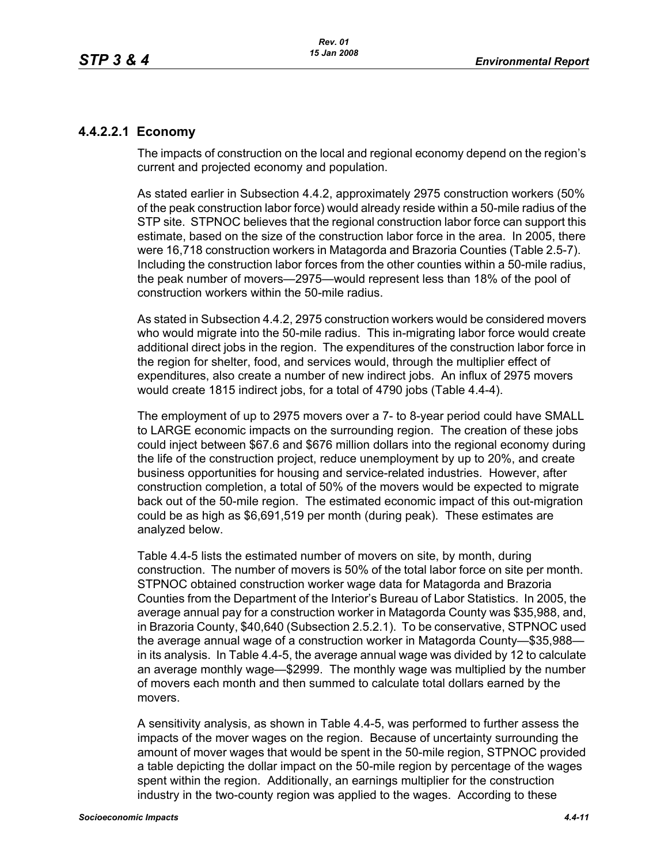# **4.4.2.2.1 Economy**

The impacts of construction on the local and regional economy depend on the region's current and projected economy and population.

As stated earlier in Subsection 4.4.2, approximately 2975 construction workers (50% of the peak construction labor force) would already reside within a 50-mile radius of the STP site. STPNOC believes that the regional construction labor force can support this estimate, based on the size of the construction labor force in the area. In 2005, there were 16,718 construction workers in Matagorda and Brazoria Counties (Table 2.5-7). Including the construction labor forces from the other counties within a 50-mile radius, the peak number of movers—2975—would represent less than 18% of the pool of construction workers within the 50-mile radius.

As stated in Subsection 4.4.2, 2975 construction workers would be considered movers who would migrate into the 50-mile radius. This in-migrating labor force would create additional direct jobs in the region. The expenditures of the construction labor force in the region for shelter, food, and services would, through the multiplier effect of expenditures, also create a number of new indirect jobs. An influx of 2975 movers would create 1815 indirect jobs, for a total of 4790 jobs (Table 4.4-4).

The employment of up to 2975 movers over a 7- to 8-year period could have SMALL to LARGE economic impacts on the surrounding region. The creation of these jobs could inject between \$67.6 and \$676 million dollars into the regional economy during the life of the construction project, reduce unemployment by up to 20%, and create business opportunities for housing and service-related industries. However, after construction completion, a total of 50% of the movers would be expected to migrate back out of the 50-mile region. The estimated economic impact of this out-migration could be as high as \$6,691,519 per month (during peak). These estimates are analyzed below.

Table 4.4-5 lists the estimated number of movers on site, by month, during construction. The number of movers is 50% of the total labor force on site per month. STPNOC obtained construction worker wage data for Matagorda and Brazoria Counties from the Department of the Interior's Bureau of Labor Statistics. In 2005, the average annual pay for a construction worker in Matagorda County was \$35,988, and, in Brazoria County, \$40,640 (Subsection 2.5.2.1). To be conservative, STPNOC used the average annual wage of a construction worker in Matagorda County—\$35,988 in its analysis. In Table 4.4-5, the average annual wage was divided by 12 to calculate an average monthly wage—\$2999. The monthly wage was multiplied by the number of movers each month and then summed to calculate total dollars earned by the movers.

A sensitivity analysis, as shown in Table 4.4-5, was performed to further assess the impacts of the mover wages on the region. Because of uncertainty surrounding the amount of mover wages that would be spent in the 50-mile region, STPNOC provided a table depicting the dollar impact on the 50-mile region by percentage of the wages spent within the region. Additionally, an earnings multiplier for the construction industry in the two-county region was applied to the wages. According to these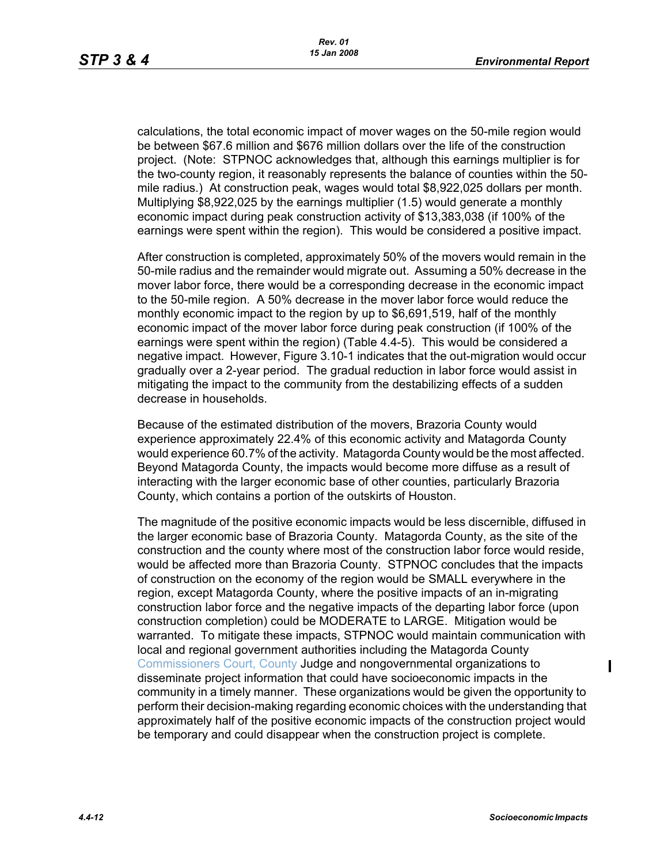calculations, the total economic impact of mover wages on the 50-mile region would be between \$67.6 million and \$676 million dollars over the life of the construction project. (Note: STPNOC acknowledges that, although this earnings multiplier is for the two-county region, it reasonably represents the balance of counties within the 50 mile radius.) At construction peak, wages would total \$8,922,025 dollars per month. Multiplying \$8,922,025 by the earnings multiplier (1.5) would generate a monthly economic impact during peak construction activity of \$13,383,038 (if 100% of the earnings were spent within the region). This would be considered a positive impact.

After construction is completed, approximately 50% of the movers would remain in the 50-mile radius and the remainder would migrate out. Assuming a 50% decrease in the mover labor force, there would be a corresponding decrease in the economic impact to the 50-mile region. A 50% decrease in the mover labor force would reduce the monthly economic impact to the region by up to \$6,691,519, half of the monthly economic impact of the mover labor force during peak construction (if 100% of the earnings were spent within the region) (Table 4.4-5). This would be considered a negative impact. However, Figure 3.10-1 indicates that the out-migration would occur gradually over a 2-year period. The gradual reduction in labor force would assist in mitigating the impact to the community from the destabilizing effects of a sudden decrease in households.

Because of the estimated distribution of the movers, Brazoria County would experience approximately 22.4% of this economic activity and Matagorda County would experience 60.7% of the activity. Matagorda County would be the most affected. Beyond Matagorda County, the impacts would become more diffuse as a result of interacting with the larger economic base of other counties, particularly Brazoria County, which contains a portion of the outskirts of Houston.

The magnitude of the positive economic impacts would be less discernible, diffused in the larger economic base of Brazoria County. Matagorda County, as the site of the construction and the county where most of the construction labor force would reside, would be affected more than Brazoria County. STPNOC concludes that the impacts of construction on the economy of the region would be SMALL everywhere in the region, except Matagorda County, where the positive impacts of an in-migrating construction labor force and the negative impacts of the departing labor force (upon construction completion) could be MODERATE to LARGE. Mitigation would be warranted. To mitigate these impacts, STPNOC would maintain communication with local and regional government authorities including the Matagorda County Commissioners Court, County Judge and nongovernmental organizations to disseminate project information that could have socioeconomic impacts in the community in a timely manner. These organizations would be given the opportunity to perform their decision-making regarding economic choices with the understanding that approximately half of the positive economic impacts of the construction project would be temporary and could disappear when the construction project is complete.

 $\blacksquare$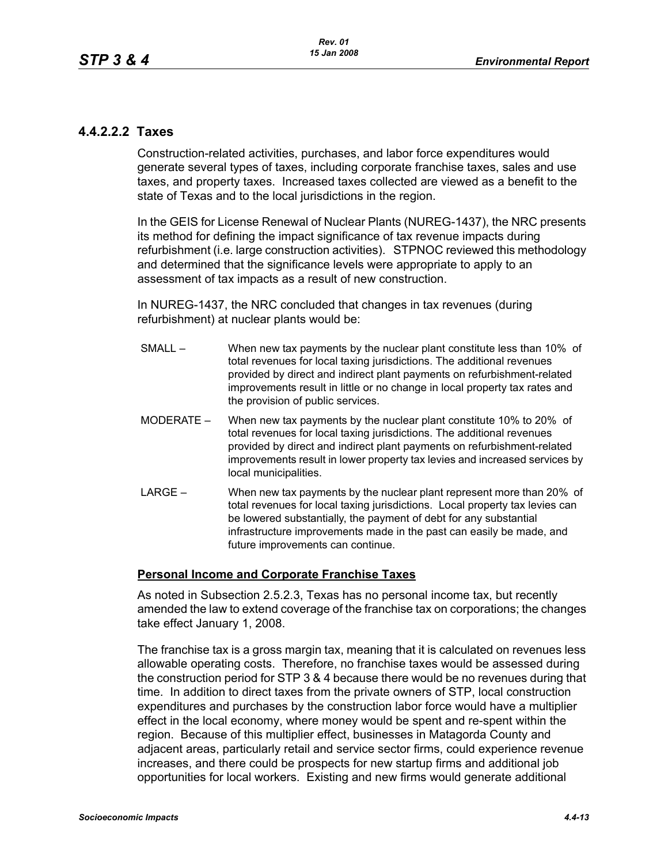# **4.4.2.2.2 Taxes**

Construction-related activities, purchases, and labor force expenditures would generate several types of taxes, including corporate franchise taxes, sales and use taxes, and property taxes. Increased taxes collected are viewed as a benefit to the state of Texas and to the local jurisdictions in the region.

In the GEIS for License Renewal of Nuclear Plants (NUREG-1437), the NRC presents its method for defining the impact significance of tax revenue impacts during refurbishment (i.e. large construction activities). STPNOC reviewed this methodology and determined that the significance levels were appropriate to apply to an assessment of tax impacts as a result of new construction.

In NUREG-1437, the NRC concluded that changes in tax revenues (during refurbishment) at nuclear plants would be:

- SMALL When new tax payments by the nuclear plant constitute less than 10% of total revenues for local taxing jurisdictions. The additional revenues provided by direct and indirect plant payments on refurbishment-related improvements result in little or no change in local property tax rates and the provision of public services.
- MODERATE When new tax payments by the nuclear plant constitute 10% to 20% of total revenues for local taxing jurisdictions. The additional revenues provided by direct and indirect plant payments on refurbishment-related improvements result in lower property tax levies and increased services by local municipalities.
- LARGE When new tax payments by the nuclear plant represent more than 20% of total revenues for local taxing jurisdictions. Local property tax levies can be lowered substantially, the payment of debt for any substantial infrastructure improvements made in the past can easily be made, and future improvements can continue.

### **Personal Income and Corporate Franchise Taxes**

As noted in Subsection 2.5.2.3, Texas has no personal income tax, but recently amended the law to extend coverage of the franchise tax on corporations; the changes take effect January 1, 2008.

The franchise tax is a gross margin tax, meaning that it is calculated on revenues less allowable operating costs. Therefore, no franchise taxes would be assessed during the construction period for STP 3 & 4 because there would be no revenues during that time. In addition to direct taxes from the private owners of STP, local construction expenditures and purchases by the construction labor force would have a multiplier effect in the local economy, where money would be spent and re-spent within the region. Because of this multiplier effect, businesses in Matagorda County and adjacent areas, particularly retail and service sector firms, could experience revenue increases, and there could be prospects for new startup firms and additional job opportunities for local workers. Existing and new firms would generate additional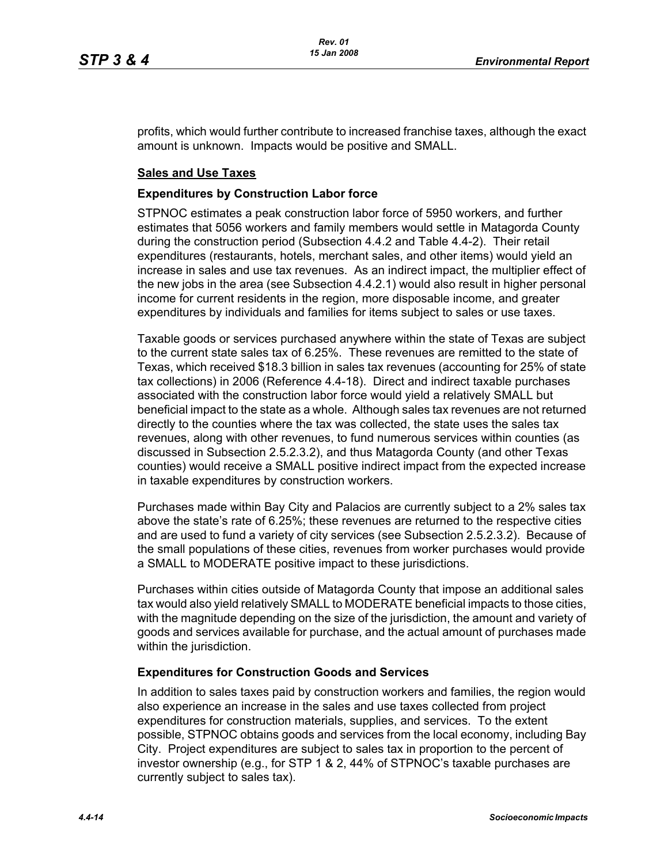profits, which would further contribute to increased franchise taxes, although the exact amount is unknown. Impacts would be positive and SMALL.

#### **Sales and Use Taxes**

#### **Expenditures by Construction Labor force**

STPNOC estimates a peak construction labor force of 5950 workers, and further estimates that 5056 workers and family members would settle in Matagorda County during the construction period (Subsection 4.4.2 and Table 4.4-2). Their retail expenditures (restaurants, hotels, merchant sales, and other items) would yield an increase in sales and use tax revenues. As an indirect impact, the multiplier effect of the new jobs in the area (see Subsection 4.4.2.1) would also result in higher personal income for current residents in the region, more disposable income, and greater expenditures by individuals and families for items subject to sales or use taxes.

Taxable goods or services purchased anywhere within the state of Texas are subject to the current state sales tax of 6.25%. These revenues are remitted to the state of Texas, which received \$18.3 billion in sales tax revenues (accounting for 25% of state tax collections) in 2006 (Reference 4.4-18). Direct and indirect taxable purchases associated with the construction labor force would yield a relatively SMALL but beneficial impact to the state as a whole. Although sales tax revenues are not returned directly to the counties where the tax was collected, the state uses the sales tax revenues, along with other revenues, to fund numerous services within counties (as discussed in Subsection 2.5.2.3.2), and thus Matagorda County (and other Texas counties) would receive a SMALL positive indirect impact from the expected increase in taxable expenditures by construction workers.

Purchases made within Bay City and Palacios are currently subject to a 2% sales tax above the state's rate of 6.25%; these revenues are returned to the respective cities and are used to fund a variety of city services (see Subsection 2.5.2.3.2). Because of the small populations of these cities, revenues from worker purchases would provide a SMALL to MODERATE positive impact to these jurisdictions.

Purchases within cities outside of Matagorda County that impose an additional sales tax would also yield relatively SMALL to MODERATE beneficial impacts to those cities, with the magnitude depending on the size of the jurisdiction, the amount and variety of goods and services available for purchase, and the actual amount of purchases made within the jurisdiction.

#### **Expenditures for Construction Goods and Services**

In addition to sales taxes paid by construction workers and families, the region would also experience an increase in the sales and use taxes collected from project expenditures for construction materials, supplies, and services. To the extent possible, STPNOC obtains goods and services from the local economy, including Bay City. Project expenditures are subject to sales tax in proportion to the percent of investor ownership (e.g., for STP 1 & 2, 44% of STPNOC's taxable purchases are currently subject to sales tax).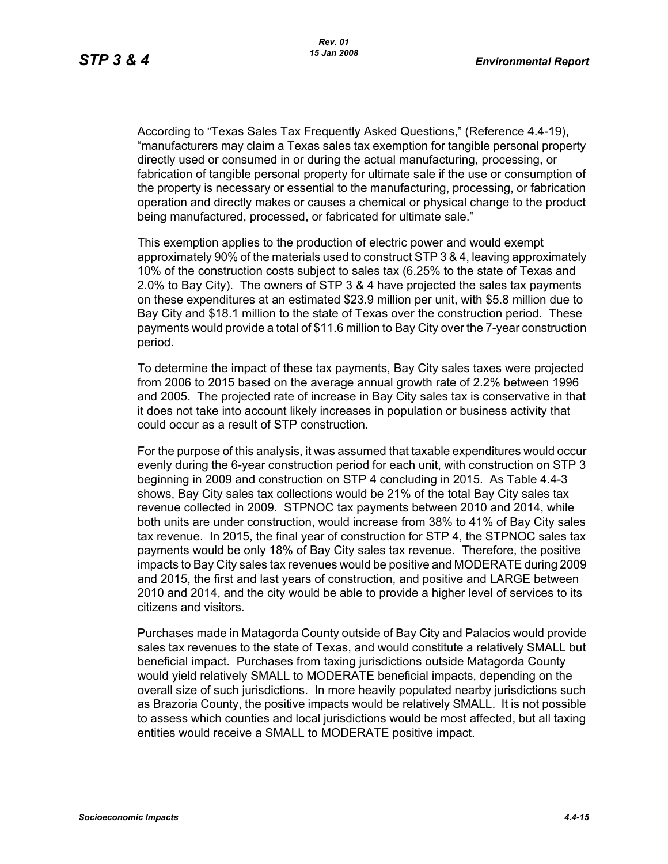According to "Texas Sales Tax Frequently Asked Questions," (Reference 4.4-19), "manufacturers may claim a Texas sales tax exemption for tangible personal property directly used or consumed in or during the actual manufacturing, processing, or fabrication of tangible personal property for ultimate sale if the use or consumption of the property is necessary or essential to the manufacturing, processing, or fabrication operation and directly makes or causes a chemical or physical change to the product being manufactured, processed, or fabricated for ultimate sale."

This exemption applies to the production of electric power and would exempt approximately 90% of the materials used to construct STP 3 & 4, leaving approximately 10% of the construction costs subject to sales tax (6.25% to the state of Texas and 2.0% to Bay City). The owners of STP 3 & 4 have projected the sales tax payments on these expenditures at an estimated \$23.9 million per unit, with \$5.8 million due to Bay City and \$18.1 million to the state of Texas over the construction period. These payments would provide a total of \$11.6 million to Bay City over the 7-year construction period.

To determine the impact of these tax payments, Bay City sales taxes were projected from 2006 to 2015 based on the average annual growth rate of 2.2% between 1996 and 2005. The projected rate of increase in Bay City sales tax is conservative in that it does not take into account likely increases in population or business activity that could occur as a result of STP construction.

For the purpose of this analysis, it was assumed that taxable expenditures would occur evenly during the 6-year construction period for each unit, with construction on STP 3 beginning in 2009 and construction on STP 4 concluding in 2015. As Table 4.4-3 shows, Bay City sales tax collections would be 21% of the total Bay City sales tax revenue collected in 2009. STPNOC tax payments between 2010 and 2014, while both units are under construction, would increase from 38% to 41% of Bay City sales tax revenue. In 2015, the final year of construction for STP 4, the STPNOC sales tax payments would be only 18% of Bay City sales tax revenue. Therefore, the positive impacts to Bay City sales tax revenues would be positive and MODERATE during 2009 and 2015, the first and last years of construction, and positive and LARGE between 2010 and 2014, and the city would be able to provide a higher level of services to its citizens and visitors.

Purchases made in Matagorda County outside of Bay City and Palacios would provide sales tax revenues to the state of Texas, and would constitute a relatively SMALL but beneficial impact. Purchases from taxing jurisdictions outside Matagorda County would yield relatively SMALL to MODERATE beneficial impacts, depending on the overall size of such jurisdictions. In more heavily populated nearby jurisdictions such as Brazoria County, the positive impacts would be relatively SMALL. It is not possible to assess which counties and local jurisdictions would be most affected, but all taxing entities would receive a SMALL to MODERATE positive impact.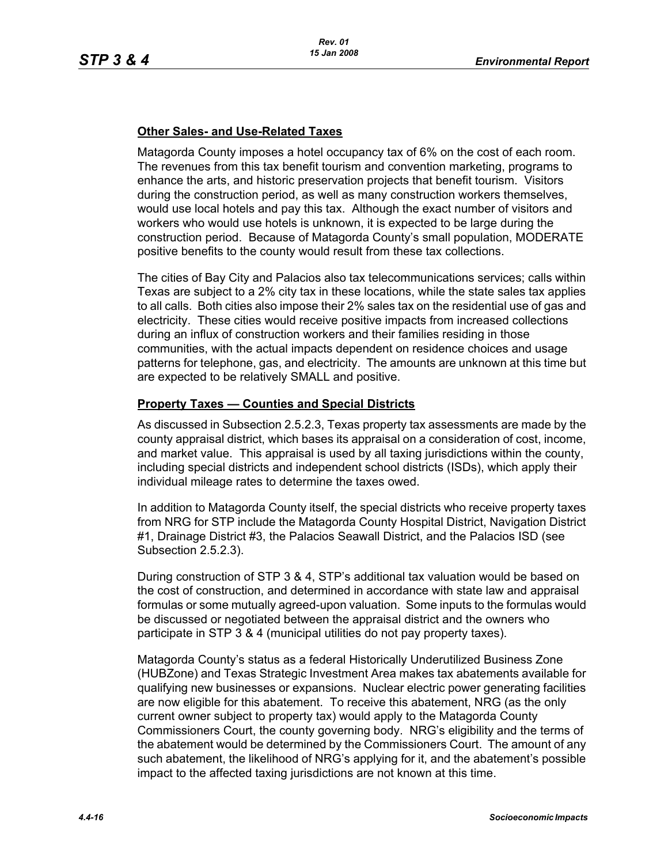## **Other Sales- and Use-Related Taxes**

Matagorda County imposes a hotel occupancy tax of 6% on the cost of each room. The revenues from this tax benefit tourism and convention marketing, programs to enhance the arts, and historic preservation projects that benefit tourism. Visitors during the construction period, as well as many construction workers themselves, would use local hotels and pay this tax. Although the exact number of visitors and workers who would use hotels is unknown, it is expected to be large during the construction period. Because of Matagorda County's small population, MODERATE positive benefits to the county would result from these tax collections.

The cities of Bay City and Palacios also tax telecommunications services; calls within Texas are subject to a 2% city tax in these locations, while the state sales tax applies to all calls. Both cities also impose their 2% sales tax on the residential use of gas and electricity. These cities would receive positive impacts from increased collections during an influx of construction workers and their families residing in those communities, with the actual impacts dependent on residence choices and usage patterns for telephone, gas, and electricity. The amounts are unknown at this time but are expected to be relatively SMALL and positive.

## **Property Taxes — Counties and Special Districts**

As discussed in Subsection 2.5.2.3, Texas property tax assessments are made by the county appraisal district, which bases its appraisal on a consideration of cost, income, and market value. This appraisal is used by all taxing jurisdictions within the county, including special districts and independent school districts (ISDs), which apply their individual mileage rates to determine the taxes owed.

In addition to Matagorda County itself, the special districts who receive property taxes from NRG for STP include the Matagorda County Hospital District, Navigation District #1, Drainage District #3, the Palacios Seawall District, and the Palacios ISD (see Subsection 2.5.2.3).

During construction of STP 3 & 4, STP's additional tax valuation would be based on the cost of construction, and determined in accordance with state law and appraisal formulas or some mutually agreed-upon valuation. Some inputs to the formulas would be discussed or negotiated between the appraisal district and the owners who participate in STP 3 & 4 (municipal utilities do not pay property taxes).

Matagorda County's status as a federal Historically Underutilized Business Zone (HUBZone) and Texas Strategic Investment Area makes tax abatements available for qualifying new businesses or expansions. Nuclear electric power generating facilities are now eligible for this abatement. To receive this abatement, NRG (as the only current owner subject to property tax) would apply to the Matagorda County Commissioners Court, the county governing body. NRG's eligibility and the terms of the abatement would be determined by the Commissioners Court. The amount of any such abatement, the likelihood of NRG's applying for it, and the abatement's possible impact to the affected taxing jurisdictions are not known at this time.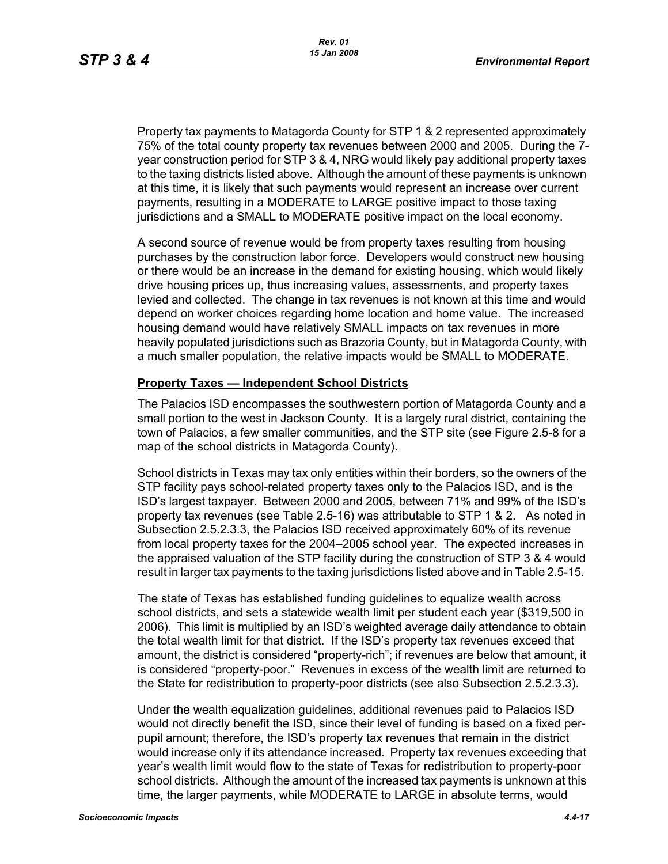Property tax payments to Matagorda County for STP 1 & 2 represented approximately 75% of the total county property tax revenues between 2000 and 2005. During the 7 year construction period for STP 3 & 4, NRG would likely pay additional property taxes to the taxing districts listed above. Although the amount of these payments is unknown at this time, it is likely that such payments would represent an increase over current payments, resulting in a MODERATE to LARGE positive impact to those taxing jurisdictions and a SMALL to MODERATE positive impact on the local economy.

A second source of revenue would be from property taxes resulting from housing purchases by the construction labor force. Developers would construct new housing or there would be an increase in the demand for existing housing, which would likely drive housing prices up, thus increasing values, assessments, and property taxes levied and collected. The change in tax revenues is not known at this time and would depend on worker choices regarding home location and home value. The increased housing demand would have relatively SMALL impacts on tax revenues in more heavily populated jurisdictions such as Brazoria County, but in Matagorda County, with a much smaller population, the relative impacts would be SMALL to MODERATE.

#### **Property Taxes — Independent School Districts**

The Palacios ISD encompasses the southwestern portion of Matagorda County and a small portion to the west in Jackson County. It is a largely rural district, containing the town of Palacios, a few smaller communities, and the STP site (see Figure 2.5-8 for a map of the school districts in Matagorda County).

School districts in Texas may tax only entities within their borders, so the owners of the STP facility pays school-related property taxes only to the Palacios ISD, and is the ISD's largest taxpayer. Between 2000 and 2005, between 71% and 99% of the ISD's property tax revenues (see Table 2.5-16) was attributable to STP 1 & 2. As noted in Subsection 2.5.2.3.3, the Palacios ISD received approximately 60% of its revenue from local property taxes for the 2004–2005 school year. The expected increases in the appraised valuation of the STP facility during the construction of STP 3 & 4 would result in larger tax payments to the taxing jurisdictions listed above and in Table 2.5-15.

The state of Texas has established funding guidelines to equalize wealth across school districts, and sets a statewide wealth limit per student each year (\$319,500 in 2006). This limit is multiplied by an ISD's weighted average daily attendance to obtain the total wealth limit for that district. If the ISD's property tax revenues exceed that amount, the district is considered "property-rich"; if revenues are below that amount, it is considered "property-poor." Revenues in excess of the wealth limit are returned to the State for redistribution to property-poor districts (see also Subsection 2.5.2.3.3).

Under the wealth equalization guidelines, additional revenues paid to Palacios ISD would not directly benefit the ISD, since their level of funding is based on a fixed perpupil amount; therefore, the ISD's property tax revenues that remain in the district would increase only if its attendance increased. Property tax revenues exceeding that year's wealth limit would flow to the state of Texas for redistribution to property-poor school districts. Although the amount of the increased tax payments is unknown at this time, the larger payments, while MODERATE to LARGE in absolute terms, would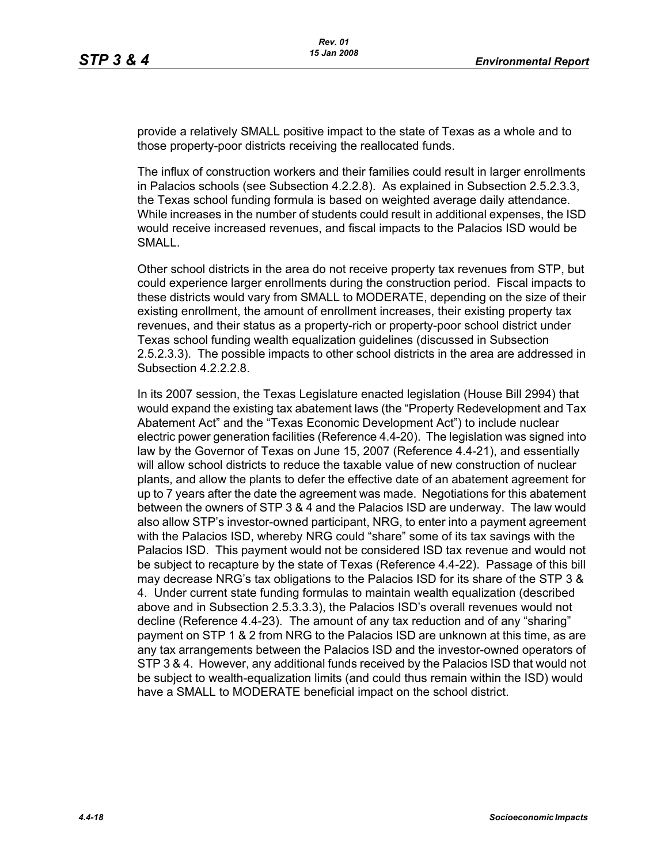provide a relatively SMALL positive impact to the state of Texas as a whole and to those property-poor districts receiving the reallocated funds.

The influx of construction workers and their families could result in larger enrollments in Palacios schools (see Subsection 4.2.2.8). As explained in Subsection 2.5.2.3.3, the Texas school funding formula is based on weighted average daily attendance. While increases in the number of students could result in additional expenses, the ISD would receive increased revenues, and fiscal impacts to the Palacios ISD would be SMALL.

Other school districts in the area do not receive property tax revenues from STP, but could experience larger enrollments during the construction period. Fiscal impacts to these districts would vary from SMALL to MODERATE, depending on the size of their existing enrollment, the amount of enrollment increases, their existing property tax revenues, and their status as a property-rich or property-poor school district under Texas school funding wealth equalization guidelines (discussed in Subsection 2.5.2.3.3). The possible impacts to other school districts in the area are addressed in Subsection 4.2.2.2.8.

In its 2007 session, the Texas Legislature enacted legislation (House Bill 2994) that would expand the existing tax abatement laws (the "Property Redevelopment and Tax Abatement Act" and the "Texas Economic Development Act") to include nuclear electric power generation facilities (Reference 4.4-20). The legislation was signed into law by the Governor of Texas on June 15, 2007 (Reference 4.4-21), and essentially will allow school districts to reduce the taxable value of new construction of nuclear plants, and allow the plants to defer the effective date of an abatement agreement for up to 7 years after the date the agreement was made. Negotiations for this abatement between the owners of STP 3 & 4 and the Palacios ISD are underway. The law would also allow STP's investor-owned participant, NRG, to enter into a payment agreement with the Palacios ISD, whereby NRG could "share" some of its tax savings with the Palacios ISD. This payment would not be considered ISD tax revenue and would not be subject to recapture by the state of Texas (Reference 4.4-22). Passage of this bill may decrease NRG's tax obligations to the Palacios ISD for its share of the STP 3 & 4. Under current state funding formulas to maintain wealth equalization (described above and in Subsection 2.5.3.3.3), the Palacios ISD's overall revenues would not decline (Reference 4.4-23). The amount of any tax reduction and of any "sharing" payment on STP 1 & 2 from NRG to the Palacios ISD are unknown at this time, as are any tax arrangements between the Palacios ISD and the investor-owned operators of STP 3 & 4. However, any additional funds received by the Palacios ISD that would not be subject to wealth-equalization limits (and could thus remain within the ISD) would have a SMALL to MODERATE beneficial impact on the school district.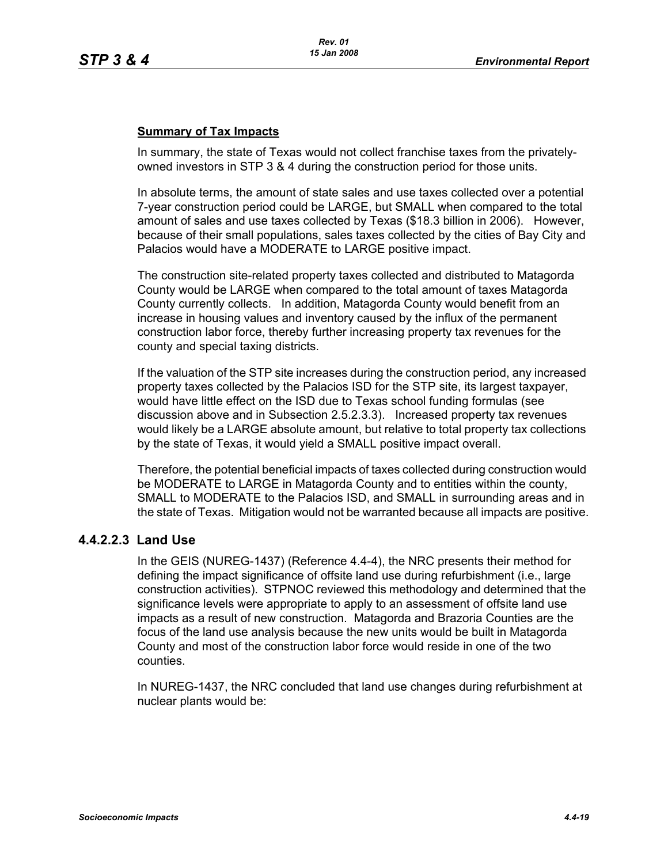## **Summary of Tax Impacts**

In summary, the state of Texas would not collect franchise taxes from the privatelyowned investors in STP 3 & 4 during the construction period for those units.

In absolute terms, the amount of state sales and use taxes collected over a potential 7-year construction period could be LARGE, but SMALL when compared to the total amount of sales and use taxes collected by Texas (\$18.3 billion in 2006). However, because of their small populations, sales taxes collected by the cities of Bay City and Palacios would have a MODERATE to LARGE positive impact.

The construction site-related property taxes collected and distributed to Matagorda County would be LARGE when compared to the total amount of taxes Matagorda County currently collects. In addition, Matagorda County would benefit from an increase in housing values and inventory caused by the influx of the permanent construction labor force, thereby further increasing property tax revenues for the county and special taxing districts.

If the valuation of the STP site increases during the construction period, any increased property taxes collected by the Palacios ISD for the STP site, its largest taxpayer, would have little effect on the ISD due to Texas school funding formulas (see discussion above and in Subsection 2.5.2.3.3). Increased property tax revenues would likely be a LARGE absolute amount, but relative to total property tax collections by the state of Texas, it would yield a SMALL positive impact overall.

Therefore, the potential beneficial impacts of taxes collected during construction would be MODERATE to LARGE in Matagorda County and to entities within the county, SMALL to MODERATE to the Palacios ISD, and SMALL in surrounding areas and in the state of Texas. Mitigation would not be warranted because all impacts are positive.

# **4.4.2.2.3 Land Use**

In the GEIS (NUREG-1437) (Reference 4.4-4), the NRC presents their method for defining the impact significance of offsite land use during refurbishment (i.e., large construction activities). STPNOC reviewed this methodology and determined that the significance levels were appropriate to apply to an assessment of offsite land use impacts as a result of new construction. Matagorda and Brazoria Counties are the focus of the land use analysis because the new units would be built in Matagorda County and most of the construction labor force would reside in one of the two counties.

In NUREG-1437, the NRC concluded that land use changes during refurbishment at nuclear plants would be: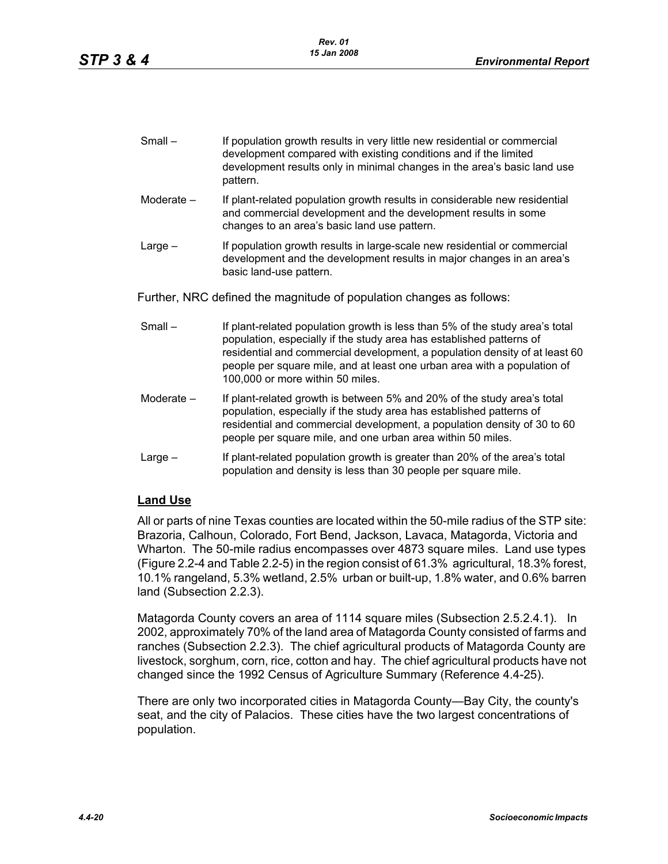| Small – | If population growth results in very little new residential or commercial |
|---------|---------------------------------------------------------------------------|
|         | development compared with existing conditions and if the limited          |
|         | development results only in minimal changes in the area's basic land use  |
|         | pattern.                                                                  |

- Moderate If plant-related population growth results in considerable new residential and commercial development and the development results in some changes to an area's basic land use pattern.
- Large If population growth results in large-scale new residential or commercial development and the development results in major changes in an area's basic land-use pattern.

Further, NRC defined the magnitude of population changes as follows:

- Small If plant-related population growth is less than 5% of the study area's total population, especially if the study area has established patterns of residential and commercial development, a population density of at least 60 people per square mile, and at least one urban area with a population of 100,000 or more within 50 miles.
- Moderate If plant-related growth is between 5% and 20% of the study area's total population, especially if the study area has established patterns of residential and commercial development, a population density of 30 to 60 people per square mile, and one urban area within 50 miles.
- Large If plant-related population growth is greater than 20% of the area's total population and density is less than 30 people per square mile.

### **Land Use**

All or parts of nine Texas counties are located within the 50-mile radius of the STP site: Brazoria, Calhoun, Colorado, Fort Bend, Jackson, Lavaca, Matagorda, Victoria and Wharton. The 50-mile radius encompasses over 4873 square miles. Land use types (Figure 2.2-4 and Table 2.2-5) in the region consist of 61.3% agricultural, 18.3% forest, 10.1% rangeland, 5.3% wetland, 2.5% urban or built-up, 1.8% water, and 0.6% barren land (Subsection 2.2.3).

Matagorda County covers an area of 1114 square miles (Subsection 2.5.2.4.1). In 2002, approximately 70% of the land area of Matagorda County consisted of farms and ranches (Subsection 2.2.3). The chief agricultural products of Matagorda County are livestock, sorghum, corn, rice, cotton and hay. The chief agricultural products have not changed since the 1992 Census of Agriculture Summary (Reference 4.4-25).

There are only two incorporated cities in Matagorda County—Bay City, the county's seat, and the city of Palacios. These cities have the two largest concentrations of population.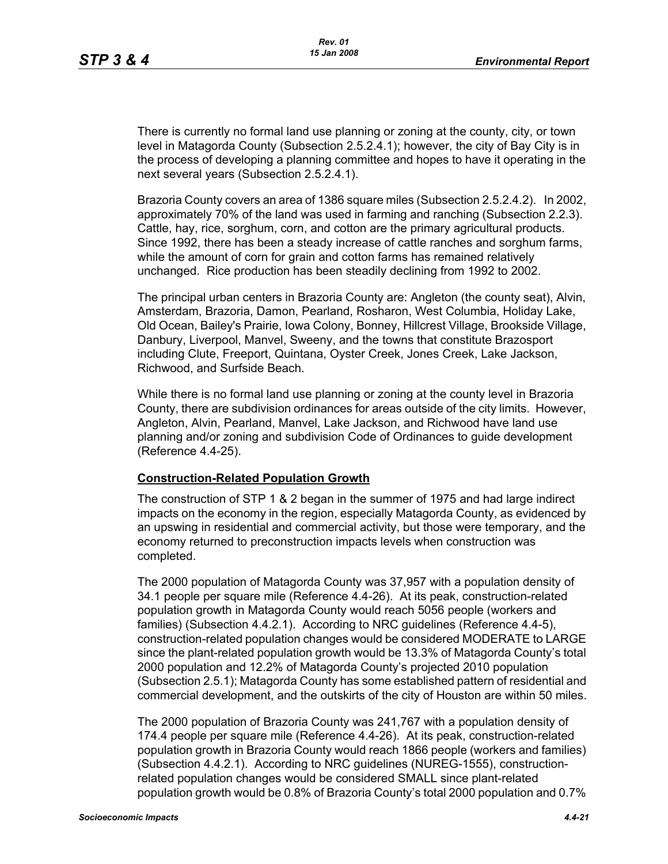There is currently no formal land use planning or zoning at the county, city, or town level in Matagorda County (Subsection 2.5.2.4.1); however, the city of Bay City is in the process of developing a planning committee and hopes to have it operating in the next several years (Subsection 2.5.2.4.1).

Brazoria County covers an area of 1386 square miles (Subsection 2.5.2.4.2). In 2002, approximately 70% of the land was used in farming and ranching (Subsection 2.2.3). Cattle, hay, rice, sorghum, corn, and cotton are the primary agricultural products. Since 1992, there has been a steady increase of cattle ranches and sorghum farms, while the amount of corn for grain and cotton farms has remained relatively unchanged. Rice production has been steadily declining from 1992 to 2002.

The principal urban centers in Brazoria County are: Angleton (the county seat), Alvin, Amsterdam, Brazoria, Damon, Pearland, Rosharon, West Columbia, Holiday Lake, Old Ocean, Bailey's Prairie, Iowa Colony, Bonney, Hillcrest Village, Brookside Village, Danbury, Liverpool, Manvel, Sweeny, and the towns that constitute Brazosport including Clute, Freeport, Quintana, Oyster Creek, Jones Creek, Lake Jackson, Richwood, and Surfside Beach.

While there is no formal land use planning or zoning at the county level in Brazoria County, there are subdivision ordinances for areas outside of the city limits. However, Angleton, Alvin, Pearland, Manvel, Lake Jackson, and Richwood have land use planning and/or zoning and subdivision Code of Ordinances to guide development (Reference 4.4-25).

#### **Construction-Related Population Growth**

The construction of STP 1 & 2 began in the summer of 1975 and had large indirect impacts on the economy in the region, especially Matagorda County, as evidenced by an upswing in residential and commercial activity, but those were temporary, and the economy returned to preconstruction impacts levels when construction was completed.

The 2000 population of Matagorda County was 37,957 with a population density of 34.1 people per square mile (Reference 4.4-26). At its peak, construction-related population growth in Matagorda County would reach 5056 people (workers and families) (Subsection 4.4.2.1). According to NRC guidelines (Reference 4.4-5), construction-related population changes would be considered MODERATE to LARGE since the plant-related population growth would be 13.3% of Matagorda County's total 2000 population and 12.2% of Matagorda County's projected 2010 population (Subsection 2.5.1); Matagorda County has some established pattern of residential and commercial development, and the outskirts of the city of Houston are within 50 miles.

The 2000 population of Brazoria County was 241,767 with a population density of 174.4 people per square mile (Reference 4.4-26). At its peak, construction-related population growth in Brazoria County would reach 1866 people (workers and families) (Subsection 4.4.2.1). According to NRC guidelines (NUREG-1555), constructionrelated population changes would be considered SMALL since plant-related population growth would be 0.8% of Brazoria County's total 2000 population and 0.7%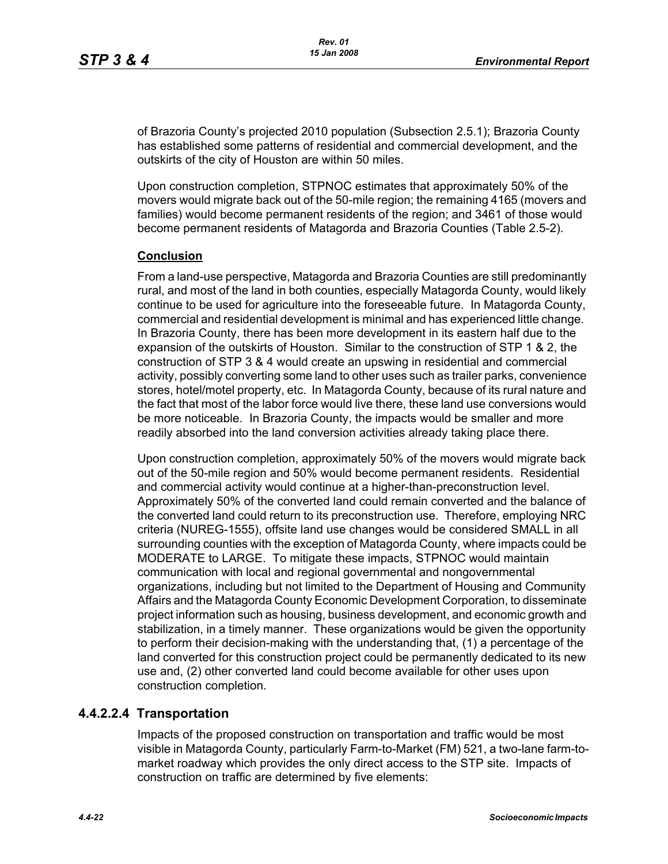of Brazoria County's projected 2010 population (Subsection 2.5.1); Brazoria County has established some patterns of residential and commercial development, and the outskirts of the city of Houston are within 50 miles.

Upon construction completion, STPNOC estimates that approximately 50% of the movers would migrate back out of the 50-mile region; the remaining 4165 (movers and families) would become permanent residents of the region; and 3461 of those would become permanent residents of Matagorda and Brazoria Counties (Table 2.5-2).

### **Conclusion**

From a land-use perspective, Matagorda and Brazoria Counties are still predominantly rural, and most of the land in both counties, especially Matagorda County, would likely continue to be used for agriculture into the foreseeable future. In Matagorda County, commercial and residential development is minimal and has experienced little change. In Brazoria County, there has been more development in its eastern half due to the expansion of the outskirts of Houston. Similar to the construction of STP 1 & 2, the construction of STP 3 & 4 would create an upswing in residential and commercial activity, possibly converting some land to other uses such as trailer parks, convenience stores, hotel/motel property, etc. In Matagorda County, because of its rural nature and the fact that most of the labor force would live there, these land use conversions would be more noticeable. In Brazoria County, the impacts would be smaller and more readily absorbed into the land conversion activities already taking place there.

Upon construction completion, approximately 50% of the movers would migrate back out of the 50-mile region and 50% would become permanent residents. Residential and commercial activity would continue at a higher-than-preconstruction level. Approximately 50% of the converted land could remain converted and the balance of the converted land could return to its preconstruction use. Therefore, employing NRC criteria (NUREG-1555), offsite land use changes would be considered SMALL in all surrounding counties with the exception of Matagorda County, where impacts could be MODERATE to LARGE. To mitigate these impacts, STPNOC would maintain communication with local and regional governmental and nongovernmental organizations, including but not limited to the Department of Housing and Community Affairs and the Matagorda County Economic Development Corporation, to disseminate project information such as housing, business development, and economic growth and stabilization, in a timely manner. These organizations would be given the opportunity to perform their decision-making with the understanding that, (1) a percentage of the land converted for this construction project could be permanently dedicated to its new use and, (2) other converted land could become available for other uses upon construction completion.

# **4.4.2.2.4 Transportation**

Impacts of the proposed construction on transportation and traffic would be most visible in Matagorda County, particularly Farm-to-Market (FM) 521, a two-lane farm-tomarket roadway which provides the only direct access to the STP site. Impacts of construction on traffic are determined by five elements: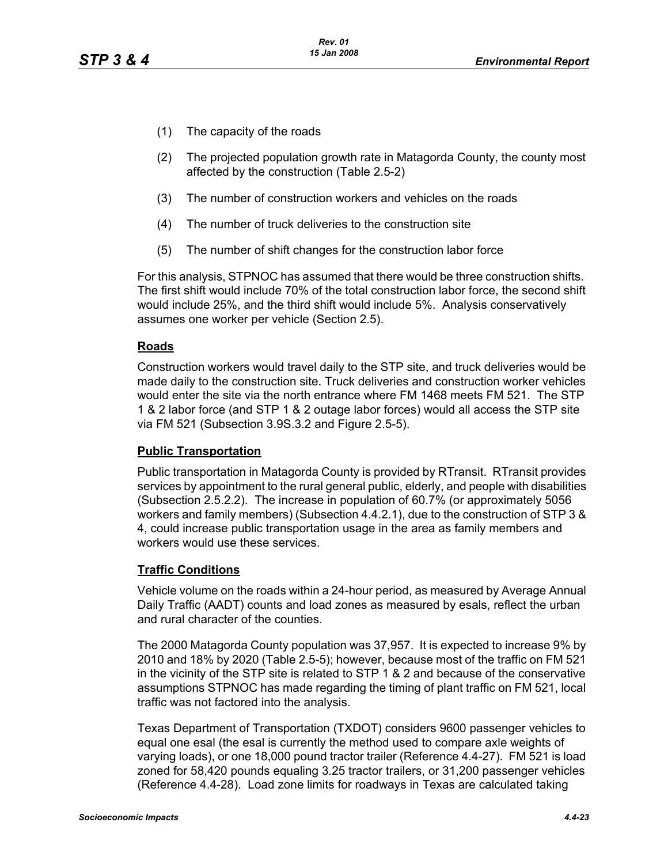- (1) The capacity of the roads
- (2) The projected population growth rate in Matagorda County, the county most affected by the construction (Table 2.5-2)
- (3) The number of construction workers and vehicles on the roads
- (4) The number of truck deliveries to the construction site
- (5) The number of shift changes for the construction labor force

For this analysis, STPNOC has assumed that there would be three construction shifts. The first shift would include 70% of the total construction labor force, the second shift would include 25%, and the third shift would include 5%. Analysis conservatively assumes one worker per vehicle (Section 2.5).

#### **Roads**

Construction workers would travel daily to the STP site, and truck deliveries would be made daily to the construction site. Truck deliveries and construction worker vehicles would enter the site via the north entrance where FM 1468 meets FM 521. The STP 1 & 2 labor force (and STP 1 & 2 outage labor forces) would all access the STP site via FM 521 (Subsection 3.9S.3.2 and Figure 2.5-5).

#### **Public Transportation**

Public transportation in Matagorda County is provided by RTransit. RTransit provides services by appointment to the rural general public, elderly, and people with disabilities (Subsection 2.5.2.2). The increase in population of 60.7% (or approximately 5056 workers and family members) (Subsection 4.4.2.1), due to the construction of STP 3 & 4, could increase public transportation usage in the area as family members and workers would use these services.

### **Traffic Conditions**

Vehicle volume on the roads within a 24-hour period, as measured by Average Annual Daily Traffic (AADT) counts and load zones as measured by esals, reflect the urban and rural character of the counties.

The 2000 Matagorda County population was 37,957. It is expected to increase 9% by 2010 and 18% by 2020 (Table 2.5-5); however, because most of the traffic on FM 521 in the vicinity of the STP site is related to STP 1 & 2 and because of the conservative assumptions STPNOC has made regarding the timing of plant traffic on FM 521, local traffic was not factored into the analysis.

Texas Department of Transportation (TXDOT) considers 9600 passenger vehicles to equal one esal (the esal is currently the method used to compare axle weights of varying loads), or one 18,000 pound tractor trailer (Reference 4.4-27). FM 521 is load zoned for 58,420 pounds equaling 3.25 tractor trailers, or 31,200 passenger vehicles (Reference 4.4-28). Load zone limits for roadways in Texas are calculated taking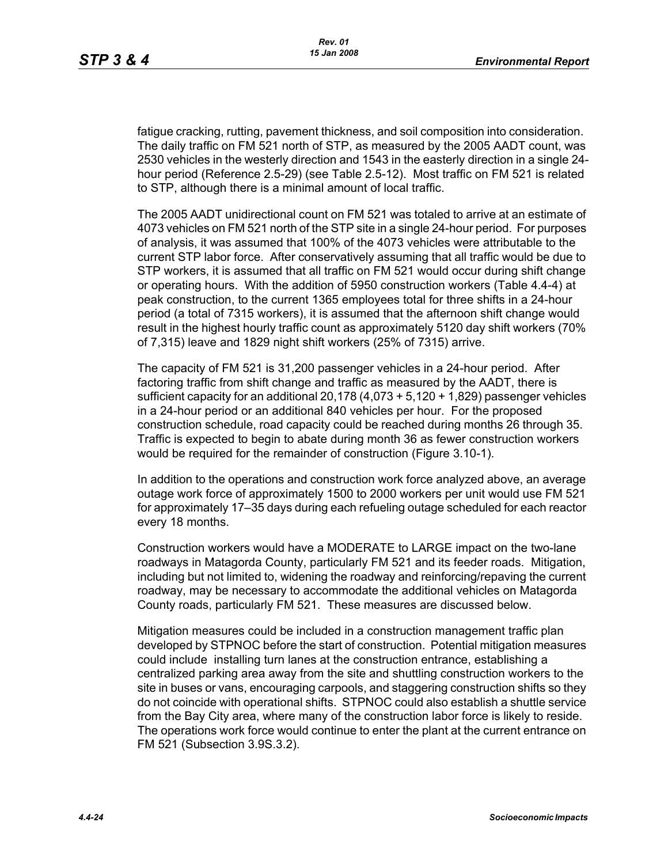fatigue cracking, rutting, pavement thickness, and soil composition into consideration. The daily traffic on FM 521 north of STP, as measured by the 2005 AADT count, was 2530 vehicles in the westerly direction and 1543 in the easterly direction in a single 24 hour period (Reference 2.5-29) (see Table 2.5-12). Most traffic on FM 521 is related to STP, although there is a minimal amount of local traffic.

The 2005 AADT unidirectional count on FM 521 was totaled to arrive at an estimate of 4073 vehicles on FM 521 north of the STP site in a single 24-hour period. For purposes of analysis, it was assumed that 100% of the 4073 vehicles were attributable to the current STP labor force. After conservatively assuming that all traffic would be due to STP workers, it is assumed that all traffic on FM 521 would occur during shift change or operating hours. With the addition of 5950 construction workers (Table 4.4-4) at peak construction, to the current 1365 employees total for three shifts in a 24-hour period (a total of 7315 workers), it is assumed that the afternoon shift change would result in the highest hourly traffic count as approximately 5120 day shift workers (70% of 7,315) leave and 1829 night shift workers (25% of 7315) arrive.

The capacity of FM 521 is 31,200 passenger vehicles in a 24-hour period. After factoring traffic from shift change and traffic as measured by the AADT, there is sufficient capacity for an additional 20,178 (4,073 + 5,120 + 1,829) passenger vehicles in a 24-hour period or an additional 840 vehicles per hour. For the proposed construction schedule, road capacity could be reached during months 26 through 35. Traffic is expected to begin to abate during month 36 as fewer construction workers would be required for the remainder of construction (Figure 3.10-1).

In addition to the operations and construction work force analyzed above, an average outage work force of approximately 1500 to 2000 workers per unit would use FM 521 for approximately 17–35 days during each refueling outage scheduled for each reactor every 18 months.

Construction workers would have a MODERATE to LARGE impact on the two-lane roadways in Matagorda County, particularly FM 521 and its feeder roads. Mitigation, including but not limited to, widening the roadway and reinforcing/repaving the current roadway, may be necessary to accommodate the additional vehicles on Matagorda County roads, particularly FM 521. These measures are discussed below.

Mitigation measures could be included in a construction management traffic plan developed by STPNOC before the start of construction. Potential mitigation measures could include installing turn lanes at the construction entrance, establishing a centralized parking area away from the site and shuttling construction workers to the site in buses or vans, encouraging carpools, and staggering construction shifts so they do not coincide with operational shifts. STPNOC could also establish a shuttle service from the Bay City area, where many of the construction labor force is likely to reside. The operations work force would continue to enter the plant at the current entrance on FM 521 (Subsection 3.9S.3.2).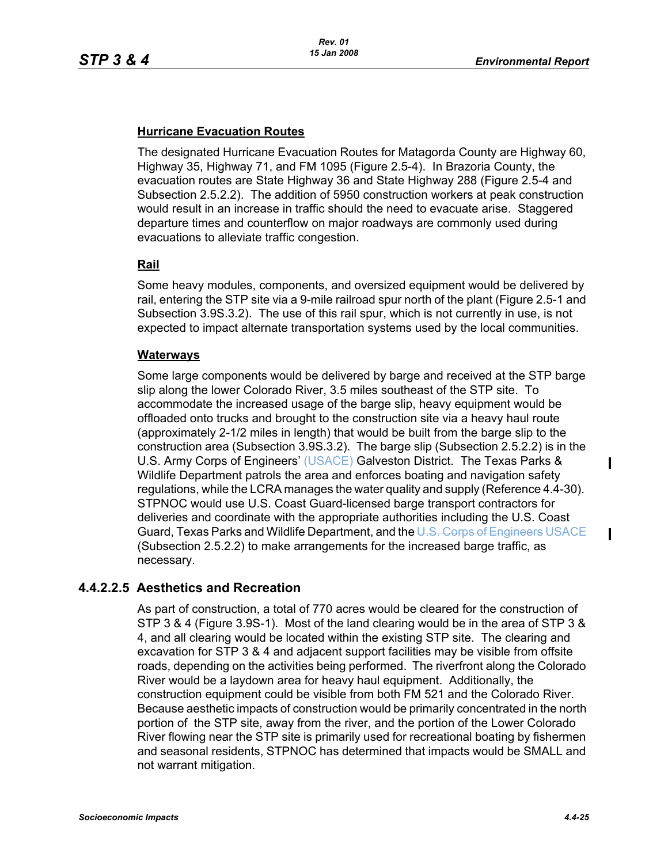## **Hurricane Evacuation Routes**

The designated Hurricane Evacuation Routes for Matagorda County are Highway 60, Highway 35, Highway 71, and FM 1095 (Figure 2.5-4). In Brazoria County, the evacuation routes are State Highway 36 and State Highway 288 (Figure 2.5-4 and Subsection 2.5.2.2). The addition of 5950 construction workers at peak construction would result in an increase in traffic should the need to evacuate arise. Staggered departure times and counterflow on major roadways are commonly used during evacuations to alleviate traffic congestion.

### **Rail**

Some heavy modules, components, and oversized equipment would be delivered by rail, entering the STP site via a 9-mile railroad spur north of the plant (Figure 2.5-1 and Subsection 3.9S.3.2). The use of this rail spur, which is not currently in use, is not expected to impact alternate transportation systems used by the local communities.

### **Waterways**

Some large components would be delivered by barge and received at the STP barge slip along the lower Colorado River, 3.5 miles southeast of the STP site. To accommodate the increased usage of the barge slip, heavy equipment would be offloaded onto trucks and brought to the construction site via a heavy haul route (approximately 2-1/2 miles in length) that would be built from the barge slip to the construction area (Subsection 3.9S.3.2). The barge slip (Subsection 2.5.2.2) is in the U.S. Army Corps of Engineers' (USACE) Galveston District. The Texas Parks & Wildlife Department patrols the area and enforces boating and navigation safety regulations, while the LCRA manages the water quality and supply (Reference 4.4-30). STPNOC would use U.S. Coast Guard-licensed barge transport contractors for deliveries and coordinate with the appropriate authorities including the U.S. Coast Guard, Texas Parks and Wildlife Department, and the U.S. Corps of Engineers USACE (Subsection 2.5.2.2) to make arrangements for the increased barge traffic, as necessary.

# **4.4.2.2.5 Aesthetics and Recreation**

As part of construction, a total of 770 acres would be cleared for the construction of STP 3 & 4 (Figure 3.9S-1). Most of the land clearing would be in the area of STP 3 & 4, and all clearing would be located within the existing STP site. The clearing and excavation for STP 3 & 4 and adjacent support facilities may be visible from offsite roads, depending on the activities being performed. The riverfront along the Colorado River would be a laydown area for heavy haul equipment. Additionally, the construction equipment could be visible from both FM 521 and the Colorado River. Because aesthetic impacts of construction would be primarily concentrated in the north portion of the STP site, away from the river, and the portion of the Lower Colorado River flowing near the STP site is primarily used for recreational boating by fishermen and seasonal residents, STPNOC has determined that impacts would be SMALL and not warrant mitigation.

 $\blacksquare$ 

 $\mathbf I$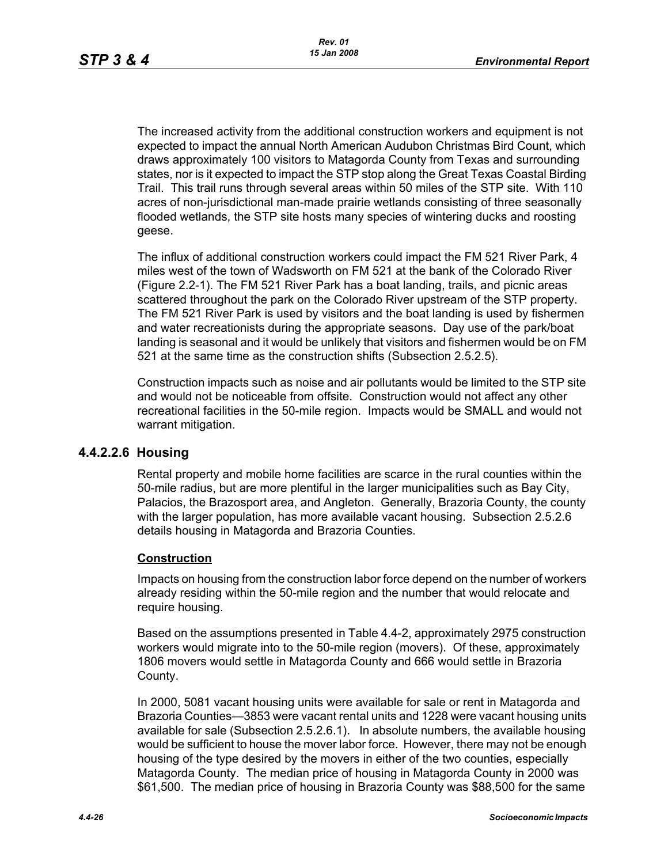The increased activity from the additional construction workers and equipment is not expected to impact the annual North American Audubon Christmas Bird Count, which draws approximately 100 visitors to Matagorda County from Texas and surrounding states, nor is it expected to impact the STP stop along the Great Texas Coastal Birding Trail. This trail runs through several areas within 50 miles of the STP site. With 110 acres of non-jurisdictional man-made prairie wetlands consisting of three seasonally flooded wetlands, the STP site hosts many species of wintering ducks and roosting geese.

The influx of additional construction workers could impact the FM 521 River Park, 4 miles west of the town of Wadsworth on FM 521 at the bank of the Colorado River (Figure 2.2-1). The FM 521 River Park has a boat landing, trails, and picnic areas scattered throughout the park on the Colorado River upstream of the STP property. The FM 521 River Park is used by visitors and the boat landing is used by fishermen and water recreationists during the appropriate seasons. Day use of the park/boat landing is seasonal and it would be unlikely that visitors and fishermen would be on FM 521 at the same time as the construction shifts (Subsection 2.5.2.5).

Construction impacts such as noise and air pollutants would be limited to the STP site and would not be noticeable from offsite. Construction would not affect any other recreational facilities in the 50-mile region. Impacts would be SMALL and would not warrant mitigation.

# **4.4.2.2.6 Housing**

Rental property and mobile home facilities are scarce in the rural counties within the 50-mile radius, but are more plentiful in the larger municipalities such as Bay City, Palacios, the Brazosport area, and Angleton. Generally, Brazoria County, the county with the larger population, has more available vacant housing. Subsection 2.5.2.6 details housing in Matagorda and Brazoria Counties.

### **Construction**

Impacts on housing from the construction labor force depend on the number of workers already residing within the 50-mile region and the number that would relocate and require housing.

Based on the assumptions presented in Table 4.4-2, approximately 2975 construction workers would migrate into to the 50-mile region (movers). Of these, approximately 1806 movers would settle in Matagorda County and 666 would settle in Brazoria County.

In 2000, 5081 vacant housing units were available for sale or rent in Matagorda and Brazoria Counties—3853 were vacant rental units and 1228 were vacant housing units available for sale (Subsection 2.5.2.6.1). In absolute numbers, the available housing would be sufficient to house the mover labor force. However, there may not be enough housing of the type desired by the movers in either of the two counties, especially Matagorda County. The median price of housing in Matagorda County in 2000 was \$61,500. The median price of housing in Brazoria County was \$88,500 for the same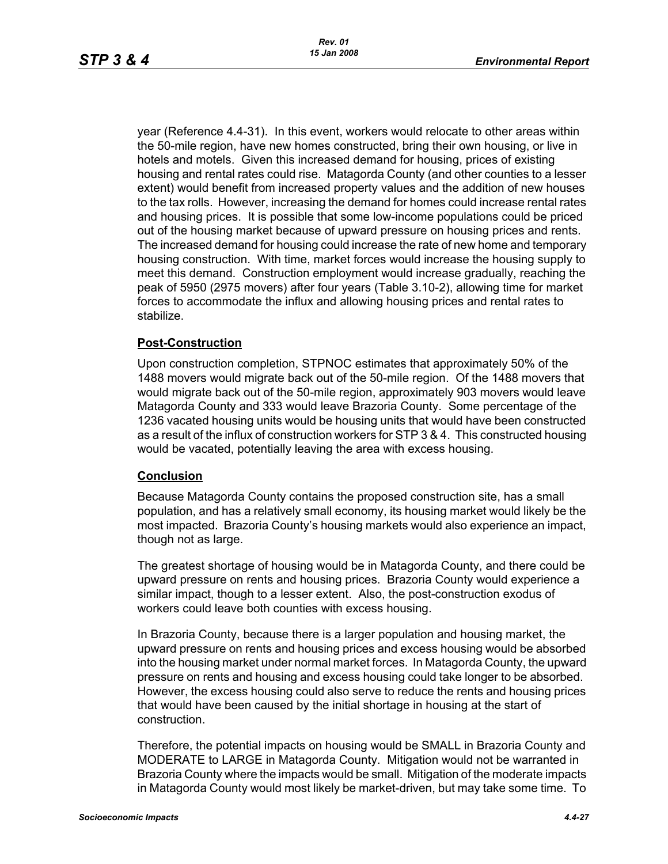year (Reference 4.4-31). In this event, workers would relocate to other areas within the 50-mile region, have new homes constructed, bring their own housing, or live in hotels and motels. Given this increased demand for housing, prices of existing housing and rental rates could rise. Matagorda County (and other counties to a lesser extent) would benefit from increased property values and the addition of new houses to the tax rolls. However, increasing the demand for homes could increase rental rates and housing prices. It is possible that some low-income populations could be priced out of the housing market because of upward pressure on housing prices and rents. The increased demand for housing could increase the rate of new home and temporary housing construction. With time, market forces would increase the housing supply to meet this demand. Construction employment would increase gradually, reaching the peak of 5950 (2975 movers) after four years (Table 3.10-2), allowing time for market forces to accommodate the influx and allowing housing prices and rental rates to stabilize.

#### **Post-Construction**

Upon construction completion, STPNOC estimates that approximately 50% of the 1488 movers would migrate back out of the 50-mile region. Of the 1488 movers that would migrate back out of the 50-mile region, approximately 903 movers would leave Matagorda County and 333 would leave Brazoria County. Some percentage of the 1236 vacated housing units would be housing units that would have been constructed as a result of the influx of construction workers for STP 3 & 4. This constructed housing would be vacated, potentially leaving the area with excess housing.

#### **Conclusion**

Because Matagorda County contains the proposed construction site, has a small population, and has a relatively small economy, its housing market would likely be the most impacted. Brazoria County's housing markets would also experience an impact, though not as large.

The greatest shortage of housing would be in Matagorda County, and there could be upward pressure on rents and housing prices. Brazoria County would experience a similar impact, though to a lesser extent. Also, the post-construction exodus of workers could leave both counties with excess housing.

In Brazoria County, because there is a larger population and housing market, the upward pressure on rents and housing prices and excess housing would be absorbed into the housing market under normal market forces. In Matagorda County, the upward pressure on rents and housing and excess housing could take longer to be absorbed. However, the excess housing could also serve to reduce the rents and housing prices that would have been caused by the initial shortage in housing at the start of construction.

Therefore, the potential impacts on housing would be SMALL in Brazoria County and MODERATE to LARGE in Matagorda County. Mitigation would not be warranted in Brazoria County where the impacts would be small. Mitigation of the moderate impacts in Matagorda County would most likely be market-driven, but may take some time. To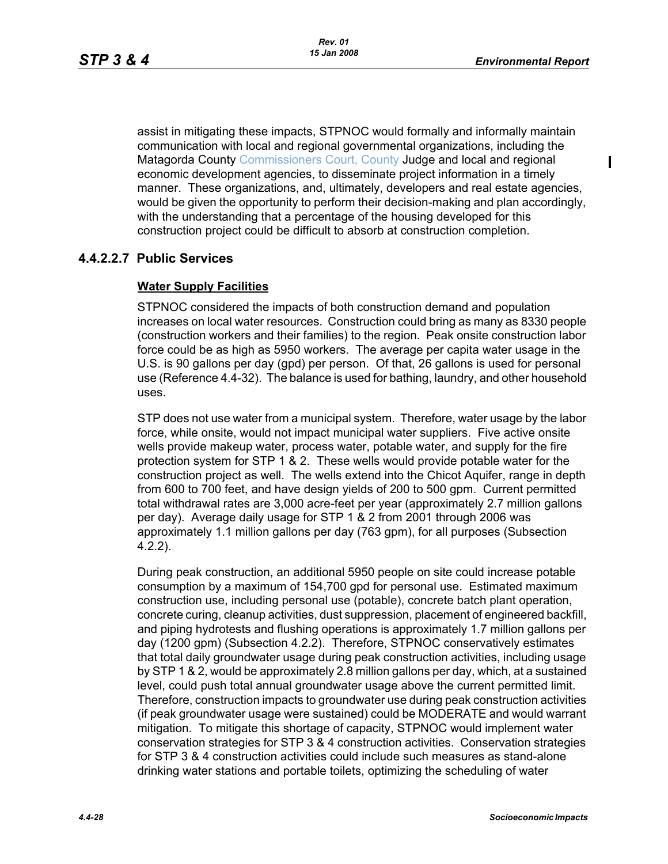$\blacksquare$ 

assist in mitigating these impacts, STPNOC would formally and informally maintain communication with local and regional governmental organizations, including the Matagorda County Commissioners Court, County Judge and local and regional economic development agencies, to disseminate project information in a timely manner. These organizations, and, ultimately, developers and real estate agencies, would be given the opportunity to perform their decision-making and plan accordingly, with the understanding that a percentage of the housing developed for this construction project could be difficult to absorb at construction completion.

# **4.4.2.2.7 Public Services**

### **Water Supply Facilities**

STPNOC considered the impacts of both construction demand and population increases on local water resources. Construction could bring as many as 8330 people (construction workers and their families) to the region. Peak onsite construction labor force could be as high as 5950 workers. The average per capita water usage in the U.S. is 90 gallons per day (gpd) per person. Of that, 26 gallons is used for personal use (Reference 4.4-32). The balance is used for bathing, laundry, and other household uses.

STP does not use water from a municipal system. Therefore, water usage by the labor force, while onsite, would not impact municipal water suppliers. Five active onsite wells provide makeup water, process water, potable water, and supply for the fire protection system for STP 1 & 2. These wells would provide potable water for the construction project as well. The wells extend into the Chicot Aquifer, range in depth from 600 to 700 feet, and have design yields of 200 to 500 gpm. Current permitted total withdrawal rates are 3,000 acre-feet per year (approximately 2.7 million gallons per day). Average daily usage for STP 1 & 2 from 2001 through 2006 was approximately 1.1 million gallons per day (763 gpm), for all purposes (Subsection 4.2.2).

During peak construction, an additional 5950 people on site could increase potable consumption by a maximum of 154,700 gpd for personal use. Estimated maximum construction use, including personal use (potable), concrete batch plant operation, concrete curing, cleanup activities, dust suppression, placement of engineered backfill, and piping hydrotests and flushing operations is approximately 1.7 million gallons per day (1200 gpm) (Subsection 4.2.2). Therefore, STPNOC conservatively estimates that total daily groundwater usage during peak construction activities, including usage by STP 1 & 2, would be approximately 2.8 million gallons per day, which, at a sustained level, could push total annual groundwater usage above the current permitted limit. Therefore, construction impacts to groundwater use during peak construction activities (if peak groundwater usage were sustained) could be MODERATE and would warrant mitigation. To mitigate this shortage of capacity, STPNOC would implement water conservation strategies for STP 3 & 4 construction activities. Conservation strategies for STP 3 & 4 construction activities could include such measures as stand-alone drinking water stations and portable toilets, optimizing the scheduling of water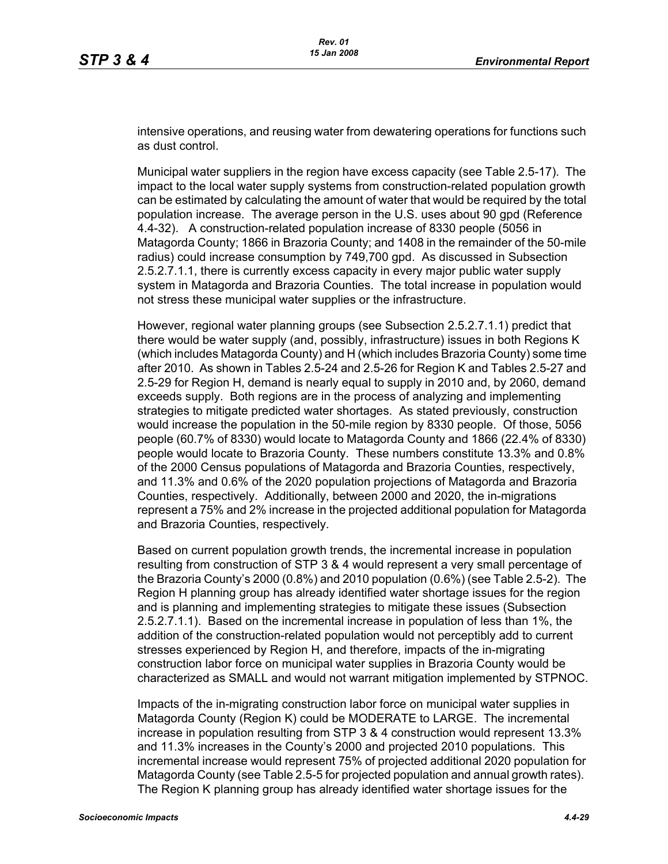intensive operations, and reusing water from dewatering operations for functions such as dust control.

Municipal water suppliers in the region have excess capacity (see Table 2.5-17). The impact to the local water supply systems from construction-related population growth can be estimated by calculating the amount of water that would be required by the total population increase. The average person in the U.S. uses about 90 gpd (Reference 4.4-32). A construction-related population increase of 8330 people (5056 in Matagorda County; 1866 in Brazoria County; and 1408 in the remainder of the 50-mile radius) could increase consumption by 749,700 gpd. As discussed in Subsection 2.5.2.7.1.1, there is currently excess capacity in every major public water supply system in Matagorda and Brazoria Counties. The total increase in population would not stress these municipal water supplies or the infrastructure.

However, regional water planning groups (see Subsection 2.5.2.7.1.1) predict that there would be water supply (and, possibly, infrastructure) issues in both Regions K (which includes Matagorda County) and H (which includes Brazoria County) some time after 2010. As shown in Tables 2.5-24 and 2.5-26 for Region K and Tables 2.5-27 and 2.5-29 for Region H, demand is nearly equal to supply in 2010 and, by 2060, demand exceeds supply. Both regions are in the process of analyzing and implementing strategies to mitigate predicted water shortages. As stated previously, construction would increase the population in the 50-mile region by 8330 people. Of those, 5056 people (60.7% of 8330) would locate to Matagorda County and 1866 (22.4% of 8330) people would locate to Brazoria County. These numbers constitute 13.3% and 0.8% of the 2000 Census populations of Matagorda and Brazoria Counties, respectively, and 11.3% and 0.6% of the 2020 population projections of Matagorda and Brazoria Counties, respectively. Additionally, between 2000 and 2020, the in-migrations represent a 75% and 2% increase in the projected additional population for Matagorda and Brazoria Counties, respectively.

Based on current population growth trends, the incremental increase in population resulting from construction of STP 3 & 4 would represent a very small percentage of the Brazoria County's 2000 (0.8%) and 2010 population (0.6%) (see Table 2.5-2). The Region H planning group has already identified water shortage issues for the region and is planning and implementing strategies to mitigate these issues (Subsection 2.5.2.7.1.1). Based on the incremental increase in population of less than 1%, the addition of the construction-related population would not perceptibly add to current stresses experienced by Region H, and therefore, impacts of the in-migrating construction labor force on municipal water supplies in Brazoria County would be characterized as SMALL and would not warrant mitigation implemented by STPNOC.

Impacts of the in-migrating construction labor force on municipal water supplies in Matagorda County (Region K) could be MODERATE to LARGE. The incremental increase in population resulting from STP 3 & 4 construction would represent 13.3% and 11.3% increases in the County's 2000 and projected 2010 populations. This incremental increase would represent 75% of projected additional 2020 population for Matagorda County (see Table 2.5-5 for projected population and annual growth rates). The Region K planning group has already identified water shortage issues for the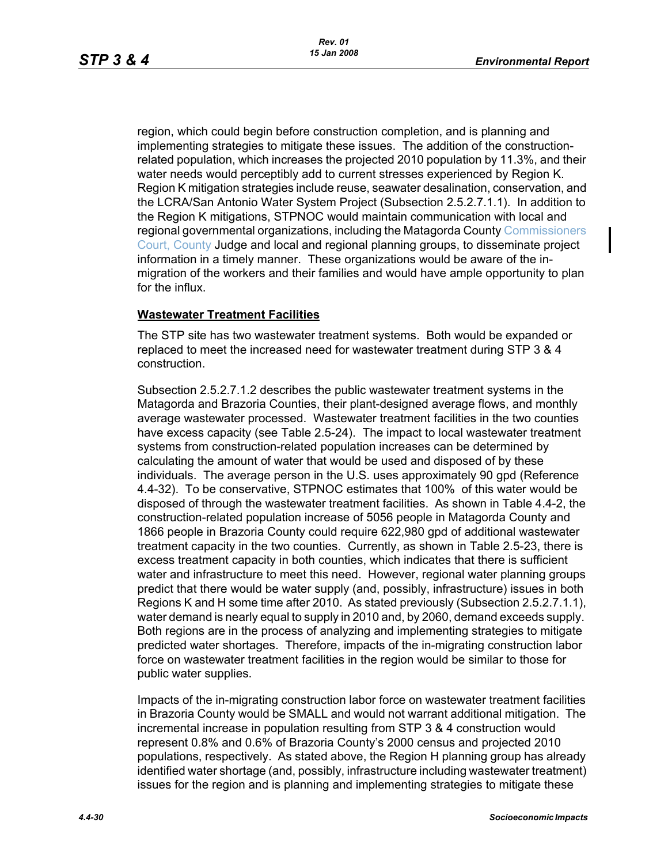region, which could begin before construction completion, and is planning and implementing strategies to mitigate these issues. The addition of the constructionrelated population, which increases the projected 2010 population by 11.3%, and their water needs would perceptibly add to current stresses experienced by Region K. Region K mitigation strategies include reuse, seawater desalination, conservation, and the LCRA/San Antonio Water System Project (Subsection 2.5.2.7.1.1). In addition to the Region K mitigations, STPNOC would maintain communication with local and regional governmental organizations, including the Matagorda County Commissioners Court, County Judge and local and regional planning groups, to disseminate project information in a timely manner. These organizations would be aware of the inmigration of the workers and their families and would have ample opportunity to plan for the influx.

#### **Wastewater Treatment Facilities**

The STP site has two wastewater treatment systems. Both would be expanded or replaced to meet the increased need for wastewater treatment during STP 3 & 4 construction.

Subsection 2.5.2.7.1.2 describes the public wastewater treatment systems in the Matagorda and Brazoria Counties, their plant-designed average flows, and monthly average wastewater processed. Wastewater treatment facilities in the two counties have excess capacity (see Table 2.5-24). The impact to local wastewater treatment systems from construction-related population increases can be determined by calculating the amount of water that would be used and disposed of by these individuals. The average person in the U.S. uses approximately 90 gpd (Reference 4.4-32). To be conservative, STPNOC estimates that 100% of this water would be disposed of through the wastewater treatment facilities. As shown in Table 4.4-2, the construction-related population increase of 5056 people in Matagorda County and 1866 people in Brazoria County could require 622,980 gpd of additional wastewater treatment capacity in the two counties. Currently, as shown in Table 2.5-23, there is excess treatment capacity in both counties, which indicates that there is sufficient water and infrastructure to meet this need. However, regional water planning groups predict that there would be water supply (and, possibly, infrastructure) issues in both Regions K and H some time after 2010. As stated previously (Subsection 2.5.2.7.1.1), water demand is nearly equal to supply in 2010 and, by 2060, demand exceeds supply. Both regions are in the process of analyzing and implementing strategies to mitigate predicted water shortages. Therefore, impacts of the in-migrating construction labor force on wastewater treatment facilities in the region would be similar to those for public water supplies.

Impacts of the in-migrating construction labor force on wastewater treatment facilities in Brazoria County would be SMALL and would not warrant additional mitigation. The incremental increase in population resulting from STP 3 & 4 construction would represent 0.8% and 0.6% of Brazoria County's 2000 census and projected 2010 populations, respectively. As stated above, the Region H planning group has already identified water shortage (and, possibly, infrastructure including wastewater treatment) issues for the region and is planning and implementing strategies to mitigate these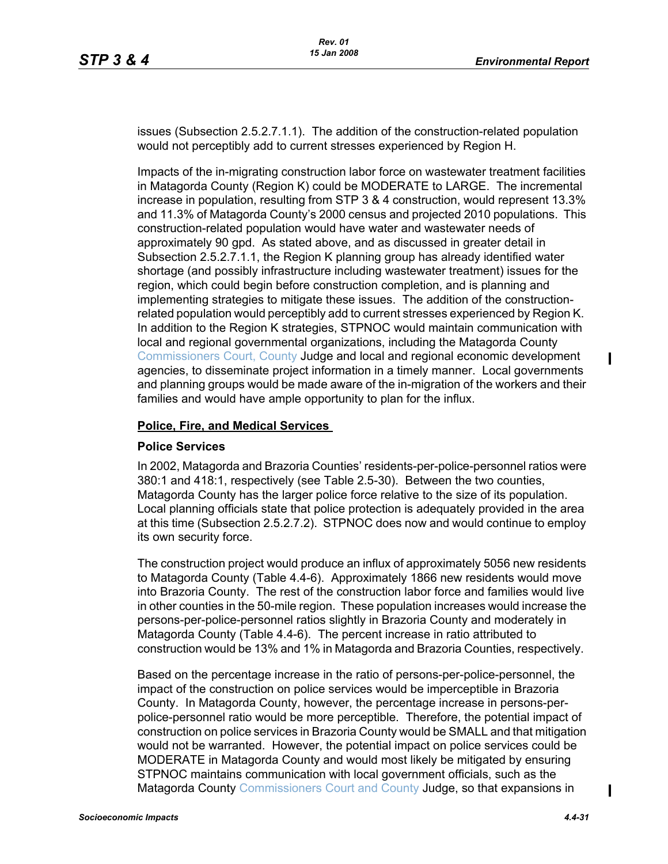issues (Subsection 2.5.2.7.1.1). The addition of the construction-related population would not perceptibly add to current stresses experienced by Region H.

Impacts of the in-migrating construction labor force on wastewater treatment facilities in Matagorda County (Region K) could be MODERATE to LARGE. The incremental increase in population, resulting from STP 3 & 4 construction, would represent 13.3% and 11.3% of Matagorda County's 2000 census and projected 2010 populations. This construction-related population would have water and wastewater needs of approximately 90 gpd. As stated above, and as discussed in greater detail in Subsection 2.5.2.7.1.1, the Region K planning group has already identified water shortage (and possibly infrastructure including wastewater treatment) issues for the region, which could begin before construction completion, and is planning and implementing strategies to mitigate these issues. The addition of the constructionrelated population would perceptibly add to current stresses experienced by Region K. In addition to the Region K strategies, STPNOC would maintain communication with local and regional governmental organizations, including the Matagorda County Commissioners Court, County Judge and local and regional economic development agencies, to disseminate project information in a timely manner. Local governments and planning groups would be made aware of the in-migration of the workers and their families and would have ample opportunity to plan for the influx.

#### **Police, Fire, and Medical Services**

#### **Police Services**

In 2002, Matagorda and Brazoria Counties' residents-per-police-personnel ratios were 380:1 and 418:1, respectively (see Table 2.5-30). Between the two counties, Matagorda County has the larger police force relative to the size of its population. Local planning officials state that police protection is adequately provided in the area at this time (Subsection 2.5.2.7.2). STPNOC does now and would continue to employ its own security force.

The construction project would produce an influx of approximately 5056 new residents to Matagorda County (Table 4.4-6). Approximately 1866 new residents would move into Brazoria County. The rest of the construction labor force and families would live in other counties in the 50-mile region. These population increases would increase the persons-per-police-personnel ratios slightly in Brazoria County and moderately in Matagorda County (Table 4.4-6). The percent increase in ratio attributed to construction would be 13% and 1% in Matagorda and Brazoria Counties, respectively.

Based on the percentage increase in the ratio of persons-per-police-personnel, the impact of the construction on police services would be imperceptible in Brazoria County. In Matagorda County, however, the percentage increase in persons-perpolice-personnel ratio would be more perceptible. Therefore, the potential impact of construction on police services in Brazoria County would be SMALL and that mitigation would not be warranted. However, the potential impact on police services could be MODERATE in Matagorda County and would most likely be mitigated by ensuring STPNOC maintains communication with local government officials, such as the Matagorda County Commissioners Court and County Judge, so that expansions in

I

 $\blacksquare$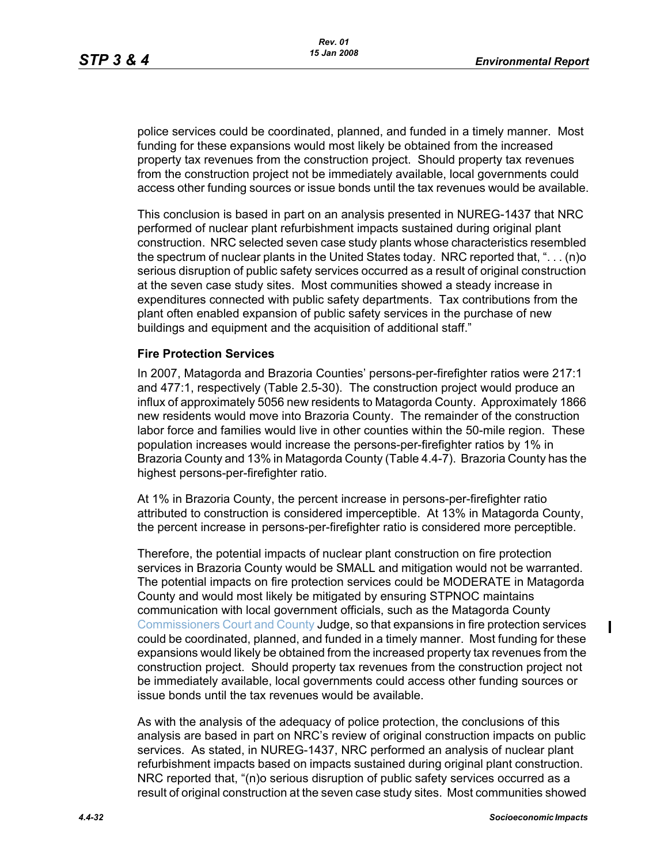police services could be coordinated, planned, and funded in a timely manner. Most funding for these expansions would most likely be obtained from the increased property tax revenues from the construction project. Should property tax revenues from the construction project not be immediately available, local governments could access other funding sources or issue bonds until the tax revenues would be available.

This conclusion is based in part on an analysis presented in NUREG-1437 that NRC performed of nuclear plant refurbishment impacts sustained during original plant construction. NRC selected seven case study plants whose characteristics resembled the spectrum of nuclear plants in the United States today. NRC reported that, ". . . (n)o serious disruption of public safety services occurred as a result of original construction at the seven case study sites. Most communities showed a steady increase in expenditures connected with public safety departments. Tax contributions from the plant often enabled expansion of public safety services in the purchase of new buildings and equipment and the acquisition of additional staff."

#### **Fire Protection Services**

In 2007, Matagorda and Brazoria Counties' persons-per-firefighter ratios were 217:1 and 477:1, respectively (Table 2.5-30). The construction project would produce an influx of approximately 5056 new residents to Matagorda County. Approximately 1866 new residents would move into Brazoria County. The remainder of the construction labor force and families would live in other counties within the 50-mile region. These population increases would increase the persons-per-firefighter ratios by 1% in Brazoria County and 13% in Matagorda County (Table 4.4-7). Brazoria County has the highest persons-per-firefighter ratio.

At 1% in Brazoria County, the percent increase in persons-per-firefighter ratio attributed to construction is considered imperceptible. At 13% in Matagorda County, the percent increase in persons-per-firefighter ratio is considered more perceptible.

Therefore, the potential impacts of nuclear plant construction on fire protection services in Brazoria County would be SMALL and mitigation would not be warranted. The potential impacts on fire protection services could be MODERATE in Matagorda County and would most likely be mitigated by ensuring STPNOC maintains communication with local government officials, such as the Matagorda County Commissioners Court and County Judge, so that expansions in fire protection services could be coordinated, planned, and funded in a timely manner. Most funding for these expansions would likely be obtained from the increased property tax revenues from the construction project. Should property tax revenues from the construction project not be immediately available, local governments could access other funding sources or issue bonds until the tax revenues would be available.

As with the analysis of the adequacy of police protection, the conclusions of this analysis are based in part on NRC's review of original construction impacts on public services. As stated, in NUREG-1437, NRC performed an analysis of nuclear plant refurbishment impacts based on impacts sustained during original plant construction. NRC reported that, "(n)o serious disruption of public safety services occurred as a result of original construction at the seven case study sites. Most communities showed Π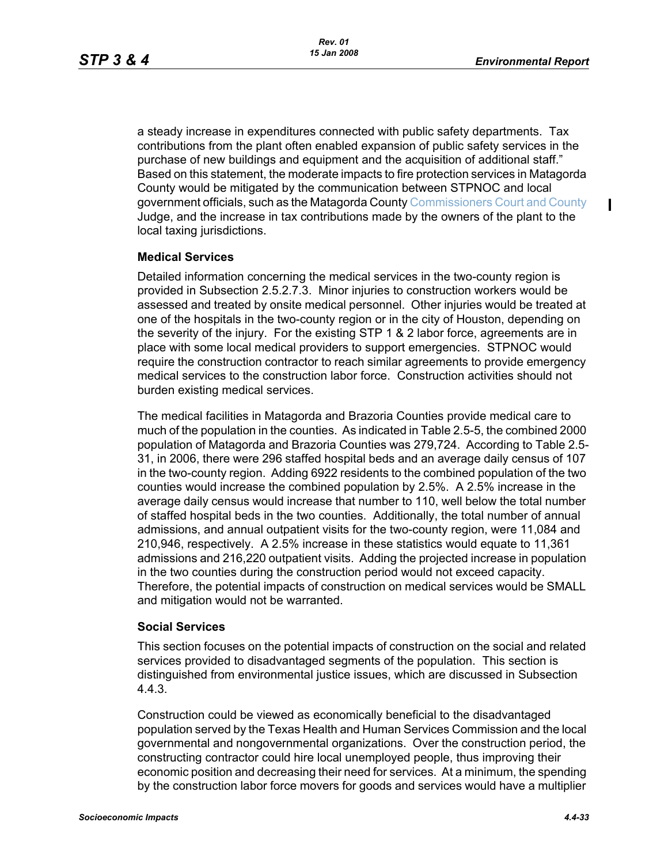$\blacksquare$ 

a steady increase in expenditures connected with public safety departments. Tax contributions from the plant often enabled expansion of public safety services in the purchase of new buildings and equipment and the acquisition of additional staff." Based on this statement, the moderate impacts to fire protection services in Matagorda County would be mitigated by the communication between STPNOC and local government officials, such as the Matagorda County Commissioners Court and County Judge, and the increase in tax contributions made by the owners of the plant to the local taxing jurisdictions.

#### **Medical Services**

Detailed information concerning the medical services in the two-county region is provided in Subsection 2.5.2.7.3. Minor injuries to construction workers would be assessed and treated by onsite medical personnel. Other injuries would be treated at one of the hospitals in the two-county region or in the city of Houston, depending on the severity of the injury. For the existing STP 1 & 2 labor force, agreements are in place with some local medical providers to support emergencies. STPNOC would require the construction contractor to reach similar agreements to provide emergency medical services to the construction labor force. Construction activities should not burden existing medical services.

The medical facilities in Matagorda and Brazoria Counties provide medical care to much of the population in the counties. As indicated in Table 2.5-5, the combined 2000 population of Matagorda and Brazoria Counties was 279,724. According to Table 2.5- 31, in 2006, there were 296 staffed hospital beds and an average daily census of 107 in the two-county region. Adding 6922 residents to the combined population of the two counties would increase the combined population by 2.5%. A 2.5% increase in the average daily census would increase that number to 110, well below the total number of staffed hospital beds in the two counties. Additionally, the total number of annual admissions, and annual outpatient visits for the two-county region, were 11,084 and 210,946, respectively. A 2.5% increase in these statistics would equate to 11,361 admissions and 216,220 outpatient visits. Adding the projected increase in population in the two counties during the construction period would not exceed capacity. Therefore, the potential impacts of construction on medical services would be SMALL and mitigation would not be warranted.

#### **Social Services**

This section focuses on the potential impacts of construction on the social and related services provided to disadvantaged segments of the population. This section is distinguished from environmental justice issues, which are discussed in Subsection 4.4.3.

Construction could be viewed as economically beneficial to the disadvantaged population served by the Texas Health and Human Services Commission and the local governmental and nongovernmental organizations. Over the construction period, the constructing contractor could hire local unemployed people, thus improving their economic position and decreasing their need for services. At a minimum, the spending by the construction labor force movers for goods and services would have a multiplier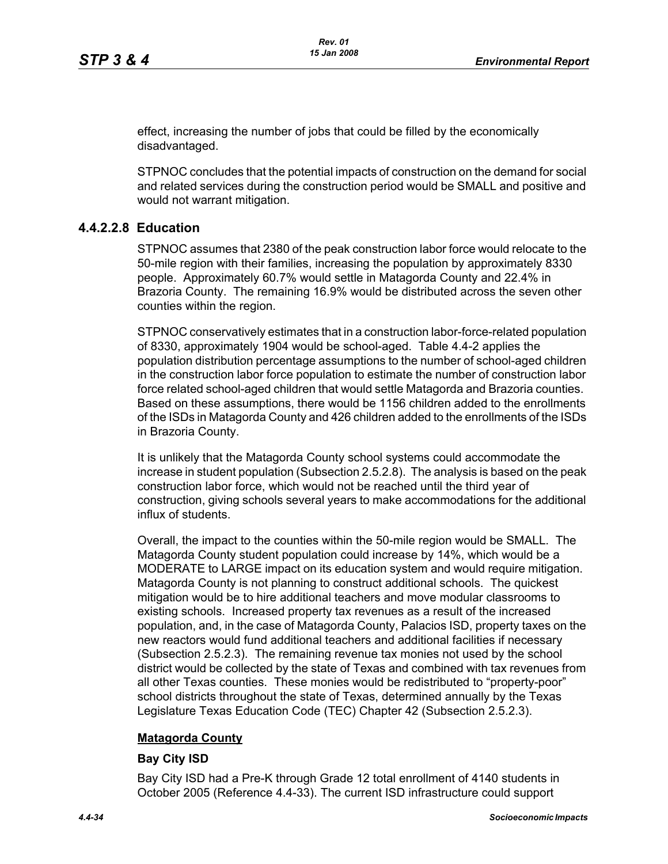effect, increasing the number of jobs that could be filled by the economically disadvantaged.

STPNOC concludes that the potential impacts of construction on the demand for social and related services during the construction period would be SMALL and positive and would not warrant mitigation.

## **4.4.2.2.8 Education**

STPNOC assumes that 2380 of the peak construction labor force would relocate to the 50-mile region with their families, increasing the population by approximately 8330 people. Approximately 60.7% would settle in Matagorda County and 22.4% in Brazoria County. The remaining 16.9% would be distributed across the seven other counties within the region.

STPNOC conservatively estimates that in a construction labor-force-related population of 8330, approximately 1904 would be school-aged. Table 4.4-2 applies the population distribution percentage assumptions to the number of school-aged children in the construction labor force population to estimate the number of construction labor force related school-aged children that would settle Matagorda and Brazoria counties. Based on these assumptions, there would be 1156 children added to the enrollments of the ISDs in Matagorda County and 426 children added to the enrollments of the ISDs in Brazoria County.

It is unlikely that the Matagorda County school systems could accommodate the increase in student population (Subsection 2.5.2.8). The analysis is based on the peak construction labor force, which would not be reached until the third year of construction, giving schools several years to make accommodations for the additional influx of students.

Overall, the impact to the counties within the 50-mile region would be SMALL. The Matagorda County student population could increase by 14%, which would be a MODERATE to LARGE impact on its education system and would require mitigation. Matagorda County is not planning to construct additional schools. The quickest mitigation would be to hire additional teachers and move modular classrooms to existing schools. Increased property tax revenues as a result of the increased population, and, in the case of Matagorda County, Palacios ISD, property taxes on the new reactors would fund additional teachers and additional facilities if necessary (Subsection 2.5.2.3). The remaining revenue tax monies not used by the school district would be collected by the state of Texas and combined with tax revenues from all other Texas counties. These monies would be redistributed to "property-poor" school districts throughout the state of Texas, determined annually by the Texas Legislature Texas Education Code (TEC) Chapter 42 (Subsection 2.5.2.3).

### **Matagorda County**

### **Bay City ISD**

Bay City ISD had a Pre-K through Grade 12 total enrollment of 4140 students in October 2005 (Reference 4.4-33). The current ISD infrastructure could support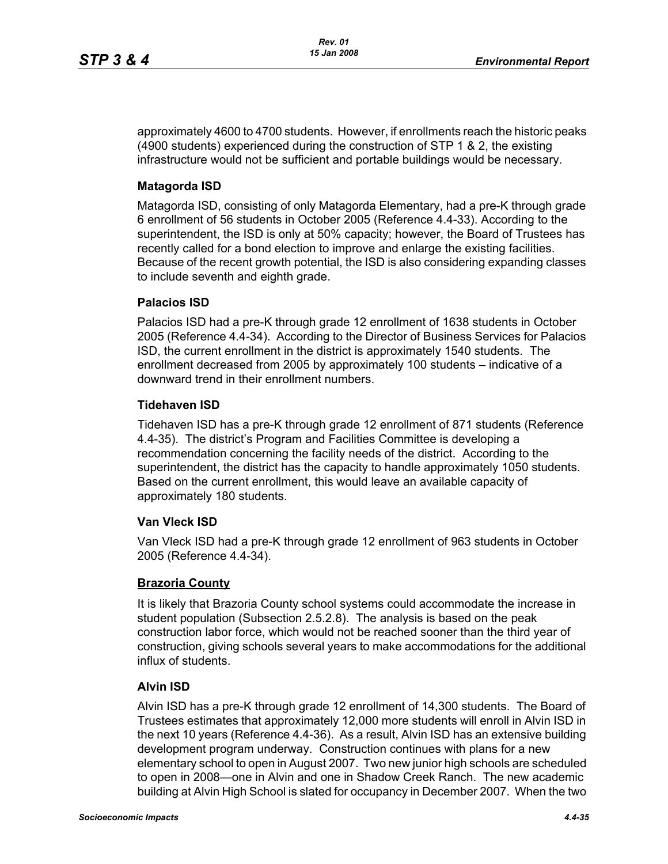approximately 4600 to 4700 students. However, if enrollments reach the historic peaks (4900 students) experienced during the construction of STP 1 & 2, the existing infrastructure would not be sufficient and portable buildings would be necessary.

## **Matagorda ISD**

Matagorda ISD, consisting of only Matagorda Elementary, had a pre-K through grade 6 enrollment of 56 students in October 2005 (Reference 4.4-33). According to the superintendent, the ISD is only at 50% capacity; however, the Board of Trustees has recently called for a bond election to improve and enlarge the existing facilities. Because of the recent growth potential, the ISD is also considering expanding classes to include seventh and eighth grade.

### **Palacios ISD**

Palacios ISD had a pre-K through grade 12 enrollment of 1638 students in October 2005 (Reference 4.4-34). According to the Director of Business Services for Palacios ISD, the current enrollment in the district is approximately 1540 students. The enrollment decreased from 2005 by approximately 100 students – indicative of a downward trend in their enrollment numbers.

## **Tidehaven ISD**

Tidehaven ISD has a pre-K through grade 12 enrollment of 871 students (Reference 4.4-35). The district's Program and Facilities Committee is developing a recommendation concerning the facility needs of the district. According to the superintendent, the district has the capacity to handle approximately 1050 students. Based on the current enrollment, this would leave an available capacity of approximately 180 students.

### **Van Vleck ISD**

Van Vleck ISD had a pre-K through grade 12 enrollment of 963 students in October 2005 (Reference 4.4-34).

### **Brazoria County**

It is likely that Brazoria County school systems could accommodate the increase in student population (Subsection 2.5.2.8). The analysis is based on the peak construction labor force, which would not be reached sooner than the third year of construction, giving schools several years to make accommodations for the additional influx of students.

### **Alvin ISD**

Alvin ISD has a pre-K through grade 12 enrollment of 14,300 students. The Board of Trustees estimates that approximately 12,000 more students will enroll in Alvin ISD in the next 10 years (Reference 4.4-36). As a result, Alvin ISD has an extensive building development program underway. Construction continues with plans for a new elementary school to open in August 2007. Two new junior high schools are scheduled to open in 2008—one in Alvin and one in Shadow Creek Ranch. The new academic building at Alvin High School is slated for occupancy in December 2007. When the two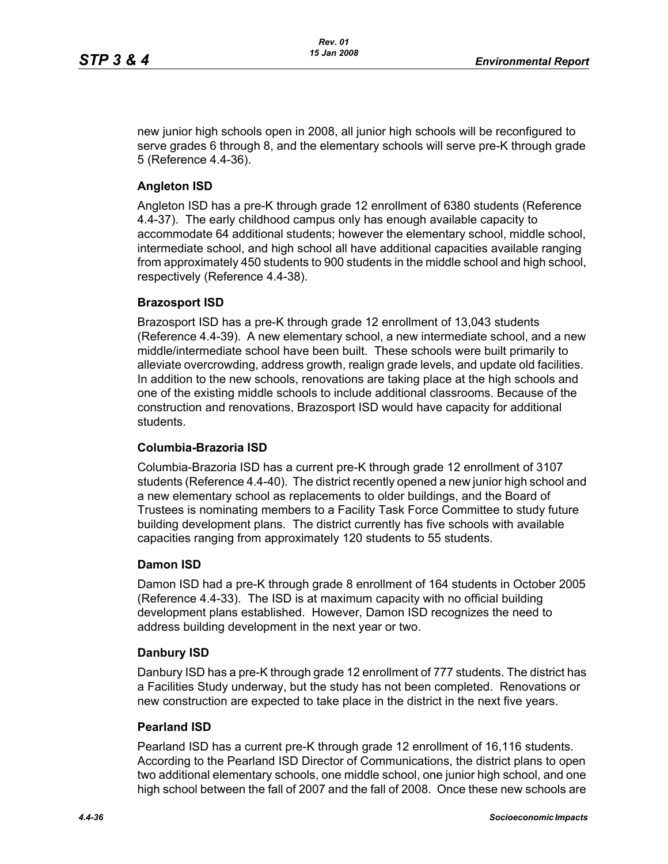new junior high schools open in 2008, all junior high schools will be reconfigured to serve grades 6 through 8, and the elementary schools will serve pre-K through grade 5 (Reference 4.4-36).

# **Angleton ISD**

Angleton ISD has a pre-K through grade 12 enrollment of 6380 students (Reference 4.4-37). The early childhood campus only has enough available capacity to accommodate 64 additional students; however the elementary school, middle school, intermediate school, and high school all have additional capacities available ranging from approximately 450 students to 900 students in the middle school and high school, respectively (Reference 4.4-38).

### **Brazosport ISD**

Brazosport ISD has a pre-K through grade 12 enrollment of 13,043 students (Reference 4.4-39). A new elementary school, a new intermediate school, and a new middle/intermediate school have been built. These schools were built primarily to alleviate overcrowding, address growth, realign grade levels, and update old facilities. In addition to the new schools, renovations are taking place at the high schools and one of the existing middle schools to include additional classrooms. Because of the construction and renovations, Brazosport ISD would have capacity for additional students.

# **Columbia-Brazoria ISD**

Columbia-Brazoria ISD has a current pre-K through grade 12 enrollment of 3107 students (Reference 4.4-40). The district recently opened a new junior high school and a new elementary school as replacements to older buildings, and the Board of Trustees is nominating members to a Facility Task Force Committee to study future building development plans. The district currently has five schools with available capacities ranging from approximately 120 students to 55 students.

### **Damon ISD**

Damon ISD had a pre-K through grade 8 enrollment of 164 students in October 2005 (Reference 4.4-33). The ISD is at maximum capacity with no official building development plans established. However, Damon ISD recognizes the need to address building development in the next year or two.

### **Danbury ISD**

Danbury ISD has a pre-K through grade 12 enrollment of 777 students. The district has a Facilities Study underway, but the study has not been completed. Renovations or new construction are expected to take place in the district in the next five years.

### **Pearland ISD**

Pearland ISD has a current pre-K through grade 12 enrollment of 16,116 students. According to the Pearland ISD Director of Communications, the district plans to open two additional elementary schools, one middle school, one junior high school, and one high school between the fall of 2007 and the fall of 2008. Once these new schools are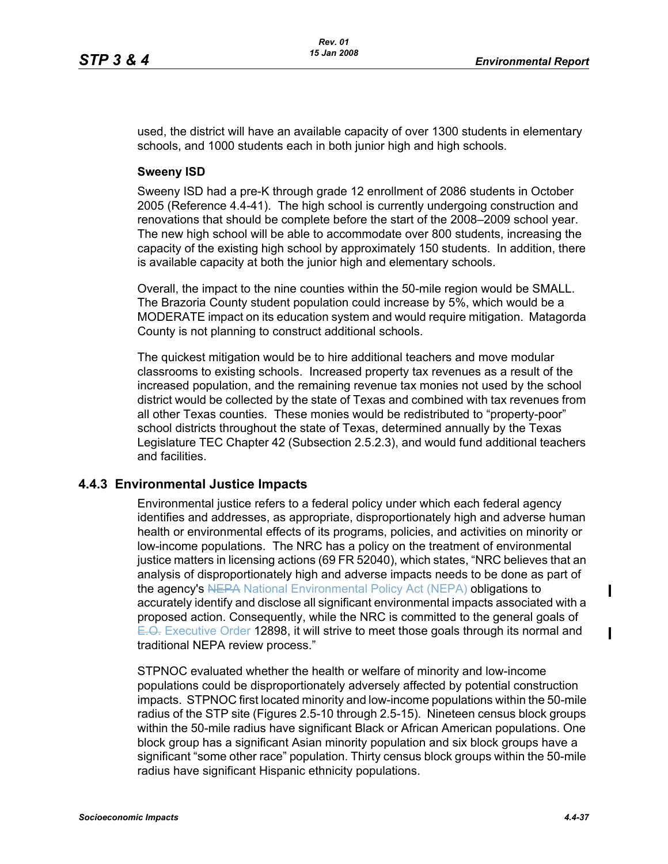used, the district will have an available capacity of over 1300 students in elementary schools, and 1000 students each in both junior high and high schools.

#### **Sweeny ISD**

Sweeny ISD had a pre-K through grade 12 enrollment of 2086 students in October 2005 (Reference 4.4-41). The high school is currently undergoing construction and renovations that should be complete before the start of the 2008–2009 school year. The new high school will be able to accommodate over 800 students, increasing the capacity of the existing high school by approximately 150 students. In addition, there is available capacity at both the junior high and elementary schools.

Overall, the impact to the nine counties within the 50-mile region would be SMALL. The Brazoria County student population could increase by 5%, which would be a MODERATE impact on its education system and would require mitigation. Matagorda County is not planning to construct additional schools.

The quickest mitigation would be to hire additional teachers and move modular classrooms to existing schools. Increased property tax revenues as a result of the increased population, and the remaining revenue tax monies not used by the school district would be collected by the state of Texas and combined with tax revenues from all other Texas counties. These monies would be redistributed to "property-poor" school districts throughout the state of Texas, determined annually by the Texas Legislature TEC Chapter 42 (Subsection 2.5.2.3), and would fund additional teachers and facilities.

### **4.4.3 Environmental Justice Impacts**

Environmental justice refers to a federal policy under which each federal agency identifies and addresses, as appropriate, disproportionately high and adverse human health or environmental effects of its programs, policies, and activities on minority or low-income populations. The NRC has a policy on the treatment of environmental justice matters in licensing actions (69 FR 52040), which states, "NRC believes that an analysis of disproportionately high and adverse impacts needs to be done as part of the agency's NEPA National Environmental Policy Act (NEPA) obligations to accurately identify and disclose all significant environmental impacts associated with a proposed action. Consequently, while the NRC is committed to the general goals of E.O. Executive Order 12898, it will strive to meet those goals through its normal and traditional NEPA review process."

STPNOC evaluated whether the health or welfare of minority and low-income populations could be disproportionately adversely affected by potential construction impacts. STPNOC first located minority and low-income populations within the 50-mile radius of the STP site (Figures 2.5-10 through 2.5-15). Nineteen census block groups within the 50-mile radius have significant Black or African American populations. One block group has a significant Asian minority population and six block groups have a significant "some other race" population. Thirty census block groups within the 50-mile radius have significant Hispanic ethnicity populations.

 $\blacksquare$ 

 $\blacksquare$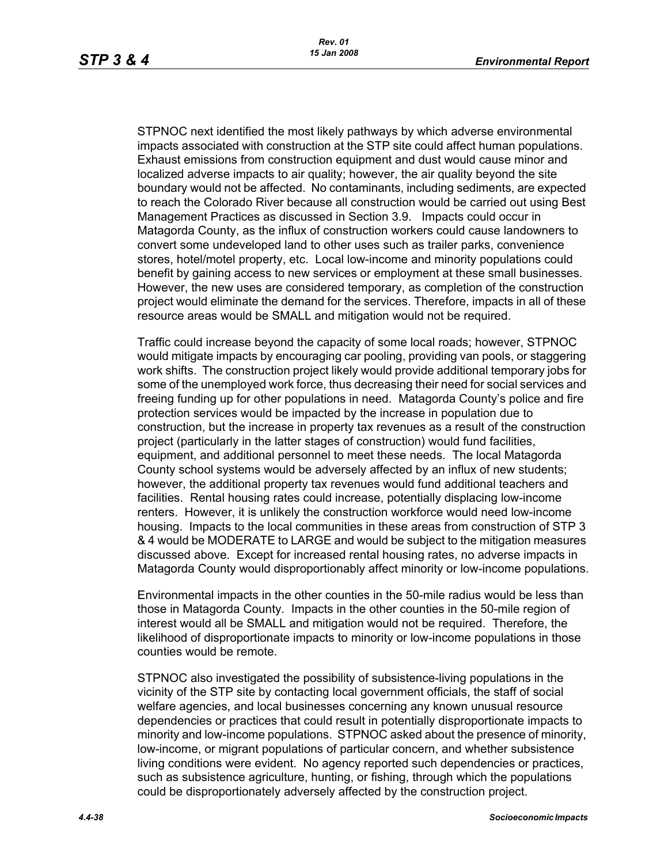STPNOC next identified the most likely pathways by which adverse environmental impacts associated with construction at the STP site could affect human populations. Exhaust emissions from construction equipment and dust would cause minor and localized adverse impacts to air quality; however, the air quality beyond the site boundary would not be affected. No contaminants, including sediments, are expected to reach the Colorado River because all construction would be carried out using Best Management Practices as discussed in Section 3.9. Impacts could occur in Matagorda County, as the influx of construction workers could cause landowners to convert some undeveloped land to other uses such as trailer parks, convenience stores, hotel/motel property, etc. Local low-income and minority populations could benefit by gaining access to new services or employment at these small businesses. However, the new uses are considered temporary, as completion of the construction project would eliminate the demand for the services. Therefore, impacts in all of these resource areas would be SMALL and mitigation would not be required.

Traffic could increase beyond the capacity of some local roads; however, STPNOC would mitigate impacts by encouraging car pooling, providing van pools, or staggering work shifts. The construction project likely would provide additional temporary jobs for some of the unemployed work force, thus decreasing their need for social services and freeing funding up for other populations in need. Matagorda County's police and fire protection services would be impacted by the increase in population due to construction, but the increase in property tax revenues as a result of the construction project (particularly in the latter stages of construction) would fund facilities, equipment, and additional personnel to meet these needs. The local Matagorda County school systems would be adversely affected by an influx of new students; however, the additional property tax revenues would fund additional teachers and facilities. Rental housing rates could increase, potentially displacing low-income renters. However, it is unlikely the construction workforce would need low-income housing. Impacts to the local communities in these areas from construction of STP 3 & 4 would be MODERATE to LARGE and would be subject to the mitigation measures discussed above. Except for increased rental housing rates, no adverse impacts in Matagorda County would disproportionably affect minority or low-income populations.

Environmental impacts in the other counties in the 50-mile radius would be less than those in Matagorda County. Impacts in the other counties in the 50-mile region of interest would all be SMALL and mitigation would not be required. Therefore, the likelihood of disproportionate impacts to minority or low-income populations in those counties would be remote.

STPNOC also investigated the possibility of subsistence-living populations in the vicinity of the STP site by contacting local government officials, the staff of social welfare agencies, and local businesses concerning any known unusual resource dependencies or practices that could result in potentially disproportionate impacts to minority and low-income populations. STPNOC asked about the presence of minority, low-income, or migrant populations of particular concern, and whether subsistence living conditions were evident. No agency reported such dependencies or practices, such as subsistence agriculture, hunting, or fishing, through which the populations could be disproportionately adversely affected by the construction project.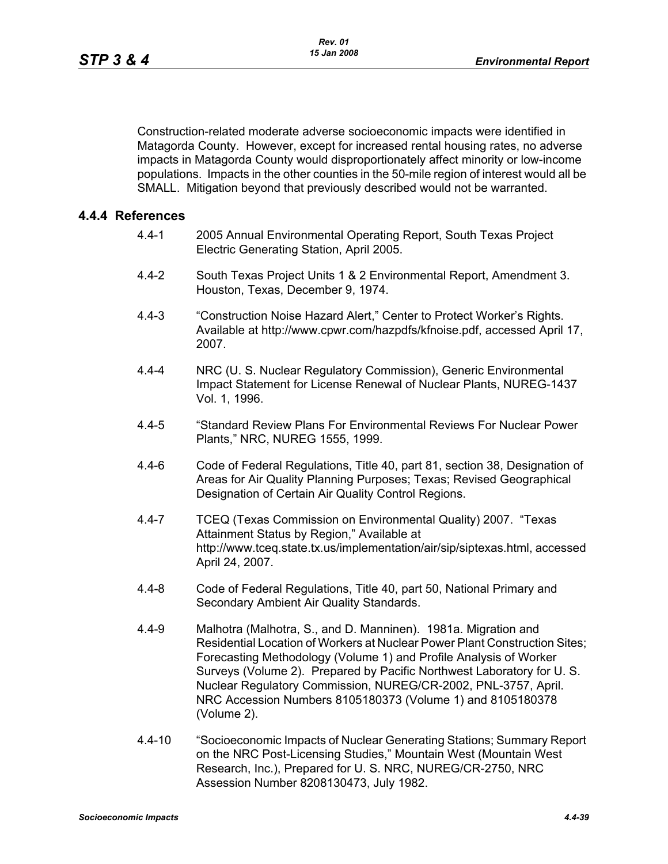Construction-related moderate adverse socioeconomic impacts were identified in Matagorda County. However, except for increased rental housing rates, no adverse impacts in Matagorda County would disproportionately affect minority or low-income populations. Impacts in the other counties in the 50-mile region of interest would all be SMALL. Mitigation beyond that previously described would not be warranted.

#### **4.4.4 References**

- 4.4-1 2005 Annual Environmental Operating Report, South Texas Project Electric Generating Station, April 2005.
- 4.4-2 South Texas Project Units 1 & 2 Environmental Report, Amendment 3. Houston, Texas, December 9, 1974.
- 4.4-3 "Construction Noise Hazard Alert," Center to Protect Worker's Rights. Available at http://www.cpwr.com/hazpdfs/kfnoise.pdf, accessed April 17, 2007.
- 4.4-4 NRC (U. S. Nuclear Regulatory Commission), Generic Environmental Impact Statement for License Renewal of Nuclear Plants, NUREG-1437 Vol. 1, 1996.
- 4.4-5 "Standard Review Plans For Environmental Reviews For Nuclear Power Plants," NRC, NUREG 1555, 1999.
- 4.4-6 Code of Federal Regulations, Title 40, part 81, section 38, Designation of Areas for Air Quality Planning Purposes; Texas; Revised Geographical Designation of Certain Air Quality Control Regions.
- 4.4-7 TCEQ (Texas Commission on Environmental Quality) 2007. "Texas Attainment Status by Region," Available at http://www.tceq.state.tx.us/implementation/air/sip/siptexas.html, accessed April 24, 2007.
- 4.4-8 Code of Federal Regulations, Title 40, part 50, National Primary and Secondary Ambient Air Quality Standards.
- 4.4-9 Malhotra (Malhotra, S., and D. Manninen). 1981a. Migration and Residential Location of Workers at Nuclear Power Plant Construction Sites; Forecasting Methodology (Volume 1) and Profile Analysis of Worker Surveys (Volume 2). Prepared by Pacific Northwest Laboratory for U. S. Nuclear Regulatory Commission, NUREG/CR-2002, PNL-3757, April. NRC Accession Numbers 8105180373 (Volume 1) and 8105180378 (Volume 2).
- 4.4-10 "Socioeconomic Impacts of Nuclear Generating Stations; Summary Report on the NRC Post-Licensing Studies," Mountain West (Mountain West Research, Inc.), Prepared for U. S. NRC, NUREG/CR-2750, NRC Assession Number 8208130473, July 1982.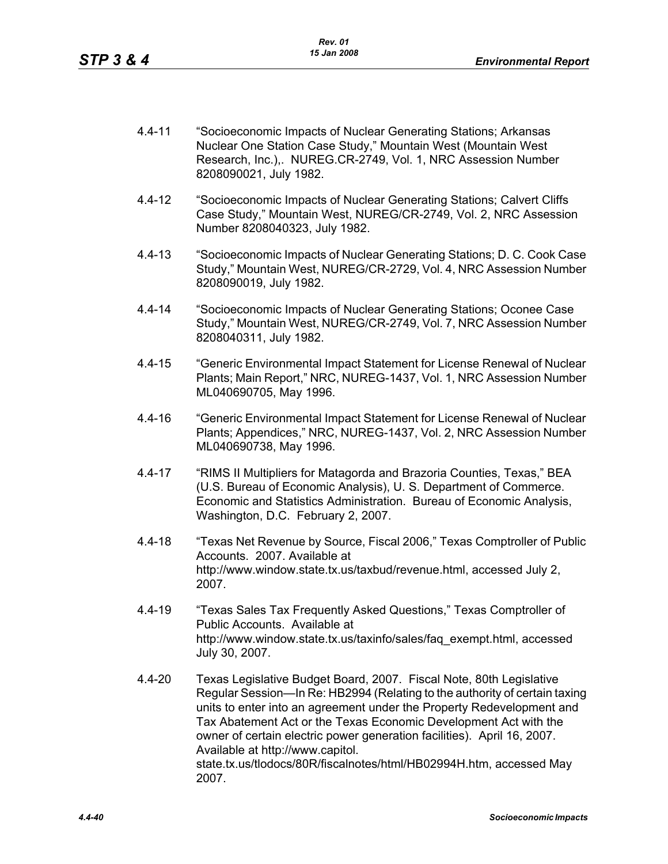- 4.4-11 "Socioeconomic Impacts of Nuclear Generating Stations; Arkansas Nuclear One Station Case Study," Mountain West (Mountain West Research, Inc.),. NUREG.CR-2749, Vol. 1, NRC Assession Number 8208090021, July 1982.
- 4.4-12 "Socioeconomic Impacts of Nuclear Generating Stations; Calvert Cliffs Case Study," Mountain West, NUREG/CR-2749, Vol. 2, NRC Assession Number 8208040323, July 1982.
- 4.4-13 "Socioeconomic Impacts of Nuclear Generating Stations; D. C. Cook Case Study," Mountain West, NUREG/CR-2729, Vol. 4, NRC Assession Number 8208090019, July 1982.
- 4.4-14 "Socioeconomic Impacts of Nuclear Generating Stations; Oconee Case Study," Mountain West, NUREG/CR-2749, Vol. 7, NRC Assession Number 8208040311, July 1982.
- 4.4-15 "Generic Environmental Impact Statement for License Renewal of Nuclear Plants; Main Report," NRC, NUREG-1437, Vol. 1, NRC Assession Number ML040690705, May 1996.
- 4.4-16 "Generic Environmental Impact Statement for License Renewal of Nuclear Plants; Appendices," NRC, NUREG-1437, Vol. 2, NRC Assession Number ML040690738, May 1996.
- 4.4-17 "RIMS II Multipliers for Matagorda and Brazoria Counties, Texas," BEA (U.S. Bureau of Economic Analysis), U. S. Department of Commerce. Economic and Statistics Administration. Bureau of Economic Analysis, Washington, D.C. February 2, 2007.
- 4.4-18 "Texas Net Revenue by Source, Fiscal 2006," Texas Comptroller of Public Accounts. 2007. Available at http://www.window.state.tx.us/taxbud/revenue.html, accessed July 2, 2007.
- 4.4-19 "Texas Sales Tax Frequently Asked Questions," Texas Comptroller of Public Accounts. Available at http://www.window.state.tx.us/taxinfo/sales/faq\_exempt.html, accessed July 30, 2007.
- 4.4-20 Texas Legislative Budget Board, 2007. Fiscal Note, 80th Legislative Regular Session—In Re: HB2994 (Relating to the authority of certain taxing units to enter into an agreement under the Property Redevelopment and Tax Abatement Act or the Texas Economic Development Act with the owner of certain electric power generation facilities). April 16, 2007. Available at http://www.capitol. state.tx.us/tlodocs/80R/fiscalnotes/html/HB02994H.htm, accessed May 2007.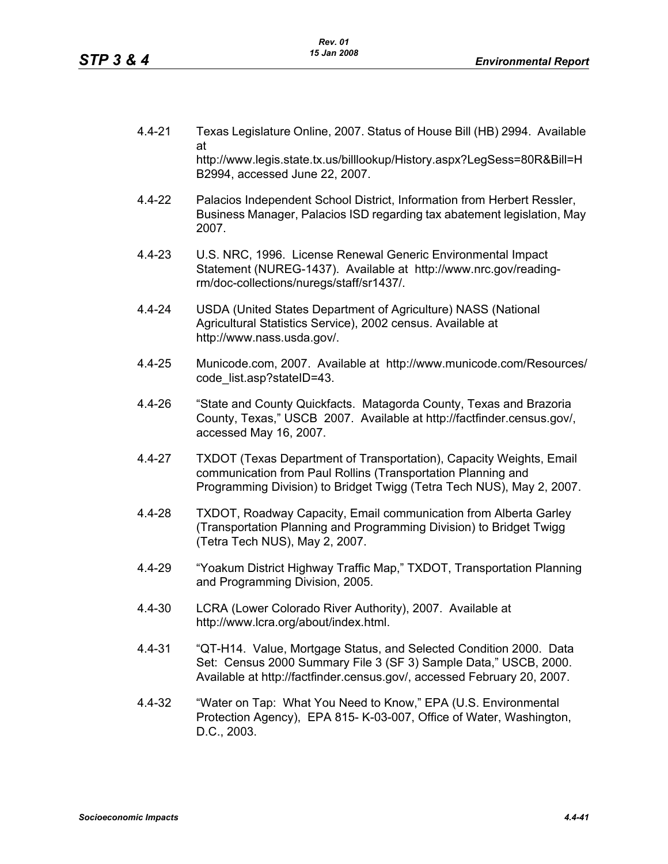- 4.4-21 Texas Legislature Online, 2007. Status of House Bill (HB) 2994. Available at http://www.legis.state.tx.us/billlookup/History.aspx?LegSess=80R&Bill=H B2994, accessed June 22, 2007.
- 4.4-22 Palacios Independent School District, Information from Herbert Ressler, Business Manager, Palacios ISD regarding tax abatement legislation, May 2007.
- 4.4-23 U.S. NRC, 1996. License Renewal Generic Environmental Impact Statement (NUREG-1437). Available at http://www.nrc.gov/readingrm/doc-collections/nuregs/staff/sr1437/.
- 4.4-24 USDA (United States Department of Agriculture) NASS (National Agricultural Statistics Service), 2002 census. Available at http://www.nass.usda.gov/.
- 4.4-25 Municode.com, 2007. Available at http://www.municode.com/Resources/ code\_list.asp?stateID=43.
- 4.4-26 "State and County Quickfacts. Matagorda County, Texas and Brazoria County, Texas," USCB 2007. Available at http://factfinder.census.gov/, accessed May 16, 2007.
- 4.4-27 TXDOT (Texas Department of Transportation), Capacity Weights, Email communication from Paul Rollins (Transportation Planning and Programming Division) to Bridget Twigg (Tetra Tech NUS), May 2, 2007.
- 4.4-28 TXDOT, Roadway Capacity, Email communication from Alberta Garley (Transportation Planning and Programming Division) to Bridget Twigg (Tetra Tech NUS), May 2, 2007.
- 4.4-29 "Yoakum District Highway Traffic Map," TXDOT, Transportation Planning and Programming Division, 2005.
- 4.4-30 LCRA (Lower Colorado River Authority), 2007. Available at http://www.lcra.org/about/index.html.
- 4.4-31 "QT-H14. Value, Mortgage Status, and Selected Condition 2000. Data Set: Census 2000 Summary File 3 (SF 3) Sample Data," USCB, 2000. Available at http://factfinder.census.gov/, accessed February 20, 2007.
- 4.4-32 "Water on Tap: What You Need to Know," EPA (U.S. Environmental Protection Agency), EPA 815- K-03-007, Office of Water, Washington, D.C., 2003.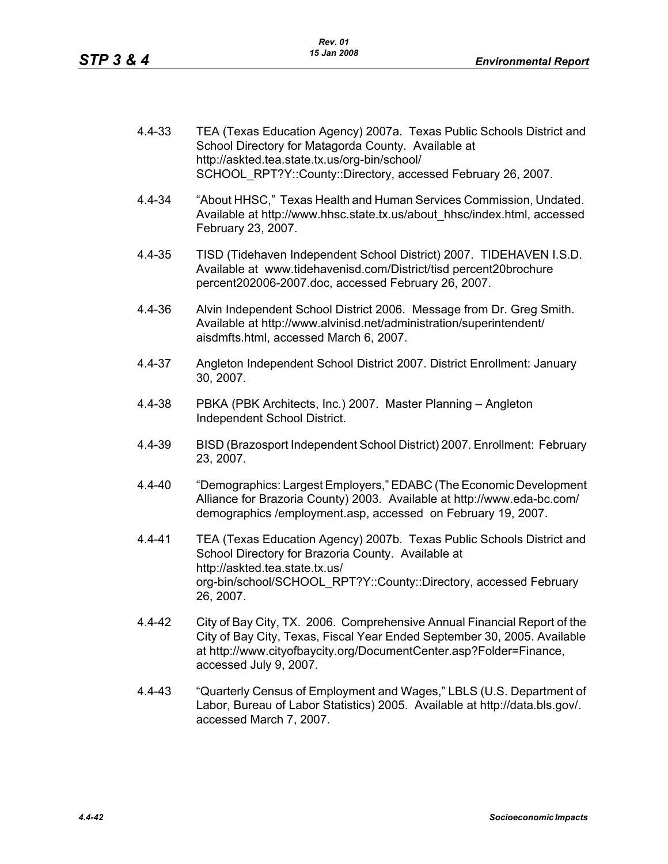| 4.4-33 | TEA (Texas Education Agency) 2007a. Texas Public Schools District and |
|--------|-----------------------------------------------------------------------|
|        | School Directory for Matagorda County. Available at                   |
|        | http://askted.tea.state.tx.us/org-bin/school/                         |
|        | SCHOOL RPT?Y::County::Directory, accessed February 26, 2007.          |
|        |                                                                       |

- 4.4-34 "About HHSC," Texas Health and Human Services Commission, Undated. Available at http://www.hhsc.state.tx.us/about\_hhsc/index.html, accessed February 23, 2007.
- 4.4-35 TISD (Tidehaven Independent School District) 2007. TIDEHAVEN I.S.D. Available at www.tidehavenisd.com/District/tisd percent20brochure percent202006-2007.doc, accessed February 26, 2007.
- 4.4-36 Alvin Independent School District 2006. Message from Dr. Greg Smith. Available at http://www.alvinisd.net/administration/superintendent/ aisdmfts.html, accessed March 6, 2007.
- 4.4-37 Angleton Independent School District 2007. District Enrollment: January 30, 2007.
- 4.4-38 PBKA (PBK Architects, Inc.) 2007. Master Planning Angleton Independent School District.
- 4.4-39 BISD (Brazosport Independent School District) 2007. Enrollment: February 23, 2007.
- 4.4-40 "Demographics: Largest Employers," EDABC (The Economic Development Alliance for Brazoria County) 2003. Available at http://www.eda-bc.com/ demographics /employment.asp, accessed on February 19, 2007.
- 4.4-41 TEA (Texas Education Agency) 2007b. Texas Public Schools District and School Directory for Brazoria County. Available at http://askted.tea.state.tx.us/ org-bin/school/SCHOOL\_RPT?Y::County::Directory, accessed February 26, 2007.
- 4.4-42 City of Bay City, TX. 2006. Comprehensive Annual Financial Report of the City of Bay City, Texas, Fiscal Year Ended September 30, 2005. Available at http://www.cityofbaycity.org/DocumentCenter.asp?Folder=Finance, accessed July 9, 2007.
- 4.4-43 "Quarterly Census of Employment and Wages," LBLS (U.S. Department of Labor, Bureau of Labor Statistics) 2005. Available at http://data.bls.gov/. accessed March 7, 2007.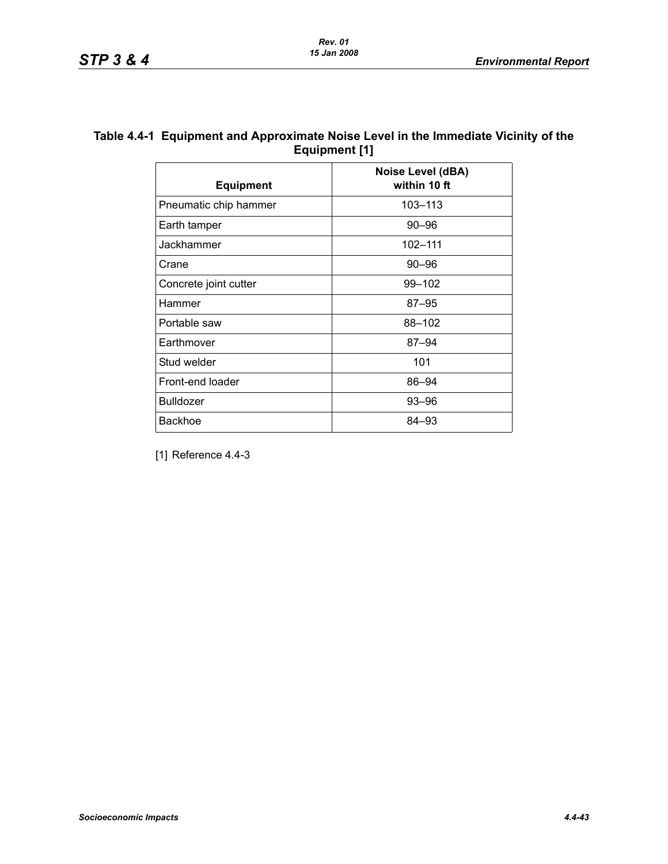| Table 4.4-1 Equipment and Approximate Noise Level in the Immediate Vicinity of the |
|------------------------------------------------------------------------------------|
| Equipment [1]                                                                      |

| <b>Equipment</b>      | Noise Level (dBA)<br>within 10 ft |
|-----------------------|-----------------------------------|
| Pneumatic chip hammer | 103-113                           |
| Earth tamper          | 90–96                             |
| Jackhammer            | 102-111                           |
| Crane                 | $90 - 96$                         |
| Concrete joint cutter | 99-102                            |
| Hammer                | $87 - 95$                         |
| Portable saw          | 88-102                            |
| Earthmover            | $87 - 94$                         |
| Stud welder           | 101                               |
| Front-end loader      | 86-94                             |
| <b>Bulldozer</b>      | 93-96                             |
| <b>Backhoe</b>        | 84–93                             |

[1] Reference 4.4-3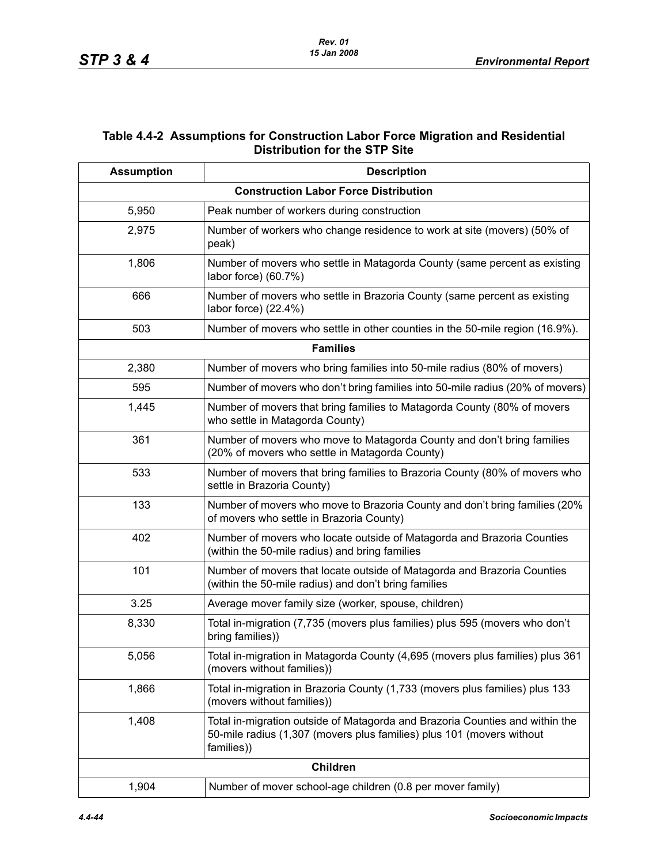## **Table 4.4-2 Assumptions for Construction Labor Force Migration and Residential Distribution for the STP Site**

| <b>Assumption</b> | <b>Description</b>                                                                                                                                                  |
|-------------------|---------------------------------------------------------------------------------------------------------------------------------------------------------------------|
|                   | <b>Construction Labor Force Distribution</b>                                                                                                                        |
| 5,950             | Peak number of workers during construction                                                                                                                          |
| 2,975             | Number of workers who change residence to work at site (movers) (50% of<br>peak)                                                                                    |
| 1,806             | Number of movers who settle in Matagorda County (same percent as existing<br>labor force) (60.7%)                                                                   |
| 666               | Number of movers who settle in Brazoria County (same percent as existing<br>labor force) (22.4%)                                                                    |
| 503               | Number of movers who settle in other counties in the 50-mile region (16.9%).                                                                                        |
|                   | <b>Families</b>                                                                                                                                                     |
| 2,380             | Number of movers who bring families into 50-mile radius (80% of movers)                                                                                             |
| 595               | Number of movers who don't bring families into 50-mile radius (20% of movers)                                                                                       |
| 1,445             | Number of movers that bring families to Matagorda County (80% of movers<br>who settle in Matagorda County)                                                          |
| 361               | Number of movers who move to Matagorda County and don't bring families<br>(20% of movers who settle in Matagorda County)                                            |
| 533               | Number of movers that bring families to Brazoria County (80% of movers who<br>settle in Brazoria County)                                                            |
| 133               | Number of movers who move to Brazoria County and don't bring families (20%<br>of movers who settle in Brazoria County)                                              |
| 402               | Number of movers who locate outside of Matagorda and Brazoria Counties<br>(within the 50-mile radius) and bring families                                            |
| 101               | Number of movers that locate outside of Matagorda and Brazoria Counties<br>(within the 50-mile radius) and don't bring families                                     |
| 3.25              | Average mover family size (worker, spouse, children)                                                                                                                |
| 8,330             | Total in-migration (7,735 (movers plus families) plus 595 (movers who don't<br>bring families))                                                                     |
| 5,056             | Total in-migration in Matagorda County (4,695 (movers plus families) plus 361<br>(movers without families))                                                         |
| 1,866             | Total in-migration in Brazoria County (1,733 (movers plus families) plus 133<br>(movers without families))                                                          |
| 1,408             | Total in-migration outside of Matagorda and Brazoria Counties and within the<br>50-mile radius (1,307 (movers plus families) plus 101 (movers without<br>families)) |
|                   | <b>Children</b>                                                                                                                                                     |
| 1,904             | Number of mover school-age children (0.8 per mover family)                                                                                                          |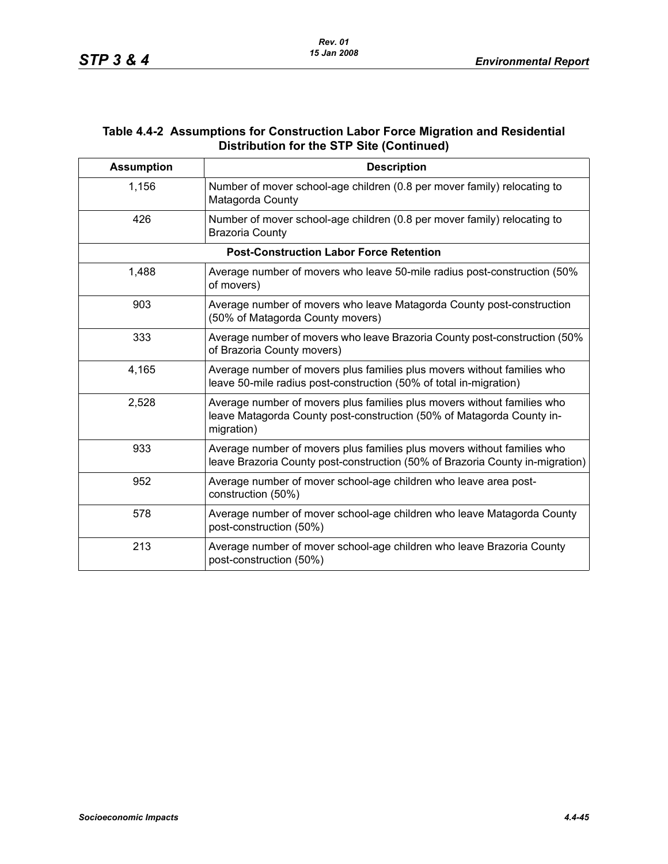### **Table 4.4-2 Assumptions for Construction Labor Force Migration and Residential Distribution for the STP Site (Continued)**

| <b>Assumption</b> | <b>Description</b>                                                                                                                                             |
|-------------------|----------------------------------------------------------------------------------------------------------------------------------------------------------------|
| 1,156             | Number of mover school-age children (0.8 per mover family) relocating to<br>Matagorda County                                                                   |
| 426               | Number of mover school-age children (0.8 per mover family) relocating to<br><b>Brazoria County</b>                                                             |
|                   | <b>Post-Construction Labor Force Retention</b>                                                                                                                 |
| 1,488             | Average number of movers who leave 50-mile radius post-construction (50%)<br>of movers)                                                                        |
| 903               | Average number of movers who leave Matagorda County post-construction<br>(50% of Matagorda County movers)                                                      |
| 333               | Average number of movers who leave Brazoria County post-construction (50%)<br>of Brazoria County movers)                                                       |
| 4,165             | Average number of movers plus families plus movers without families who<br>leave 50-mile radius post-construction (50% of total in-migration)                  |
| 2,528             | Average number of movers plus families plus movers without families who<br>leave Matagorda County post-construction (50% of Matagorda County in-<br>migration) |
| 933               | Average number of movers plus families plus movers without families who<br>leave Brazoria County post-construction (50% of Brazoria County in-migration)       |
| 952               | Average number of mover school-age children who leave area post-<br>construction (50%)                                                                         |
| 578               | Average number of mover school-age children who leave Matagorda County<br>post-construction (50%)                                                              |
| 213               | Average number of mover school-age children who leave Brazoria County<br>post-construction (50%)                                                               |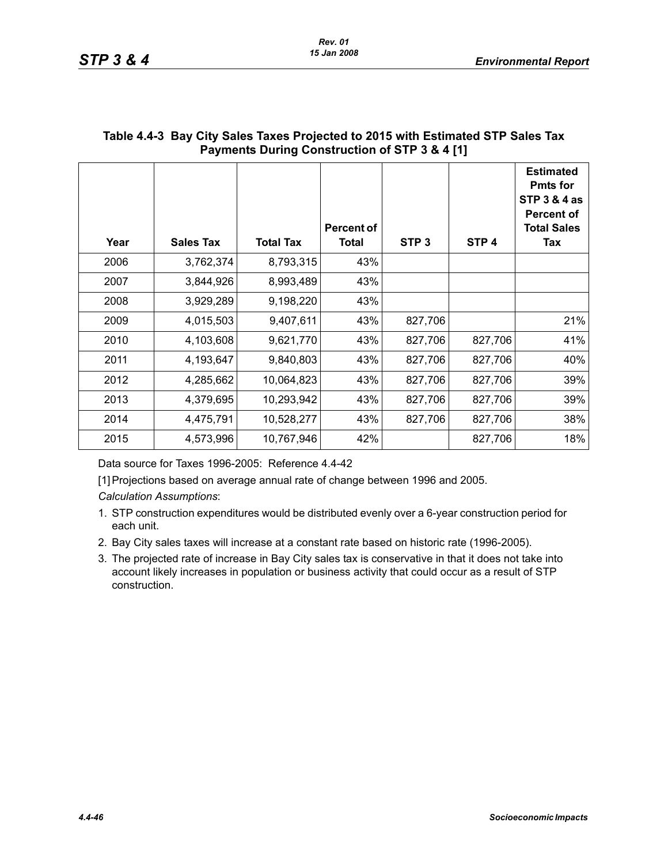| Year | <b>Sales Tax</b> | <b>Total Tax</b> | Percent of<br><b>Total</b> | STP <sub>3</sub> | STP <sub>4</sub> | <b>Estimated</b><br><b>Pmts for</b><br><b>STP 3 &amp; 4 as</b><br><b>Percent of</b><br><b>Total Sales</b><br>Tax |
|------|------------------|------------------|----------------------------|------------------|------------------|------------------------------------------------------------------------------------------------------------------|
| 2006 | 3,762,374        | 8,793,315        | 43%                        |                  |                  |                                                                                                                  |
| 2007 | 3,844,926        | 8,993,489        | 43%                        |                  |                  |                                                                                                                  |
| 2008 | 3,929,289        | 9,198,220        | 43%                        |                  |                  |                                                                                                                  |
| 2009 | 4,015,503        | 9,407,611        | 43%                        | 827,706          |                  | 21%                                                                                                              |
| 2010 | 4,103,608        | 9,621,770        | 43%                        | 827,706          | 827,706          | 41%                                                                                                              |
| 2011 | 4,193,647        | 9,840,803        | 43%                        | 827,706          | 827,706          | 40%                                                                                                              |
| 2012 | 4,285,662        | 10,064,823       | 43%                        | 827,706          | 827,706          | 39%                                                                                                              |
| 2013 | 4,379,695        | 10,293,942       | 43%                        | 827,706          | 827,706          | 39%                                                                                                              |
| 2014 | 4,475,791        | 10,528,277       | 43%                        | 827,706          | 827,706          | 38%                                                                                                              |
| 2015 | 4,573,996        | 10,767,946       | 42%                        |                  | 827,706          | 18%                                                                                                              |

# **Table 4.4-3 Bay City Sales Taxes Projected to 2015 with Estimated STP Sales Tax Payments During Construction of STP 3 & 4 [1]**

Data source for Taxes 1996-2005: Reference 4.4-42

[1] Projections based on average annual rate of change between 1996 and 2005.

*Calculation Assumptions*:

- 1. STP construction expenditures would be distributed evenly over a 6-year construction period for each unit.
- 2. Bay City sales taxes will increase at a constant rate based on historic rate (1996-2005).
- 3. The projected rate of increase in Bay City sales tax is conservative in that it does not take into account likely increases in population or business activity that could occur as a result of STP construction.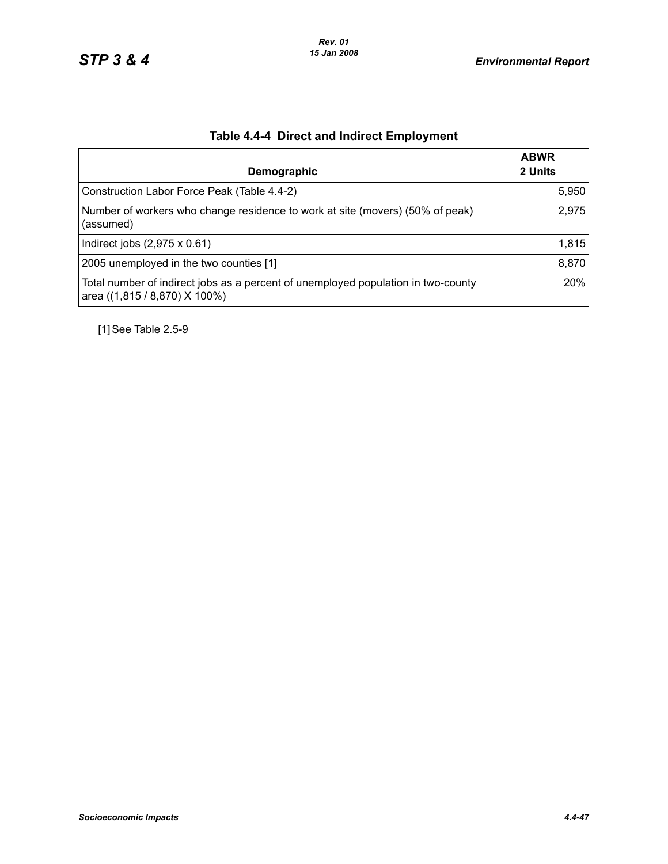|  | <b>Table 4.4-4 Direct and Indirect Employment</b> |  |
|--|---------------------------------------------------|--|
|  |                                                   |  |

|                                                                                                                    | <b>ABWR</b> |
|--------------------------------------------------------------------------------------------------------------------|-------------|
| Demographic                                                                                                        | 2 Units     |
| Construction Labor Force Peak (Table 4.4-2)                                                                        | 5,950       |
| Number of workers who change residence to work at site (movers) (50% of peak)<br>(assumed)                         | 2,975       |
| Indirect jobs $(2,975 \times 0.61)$                                                                                | 1,815       |
| 2005 unemployed in the two counties [1]                                                                            | 8,870       |
| Total number of indirect jobs as a percent of unemployed population in two-county<br>area ((1,815 / 8,870) X 100%) | 20%         |

[1] See Table 2.5-9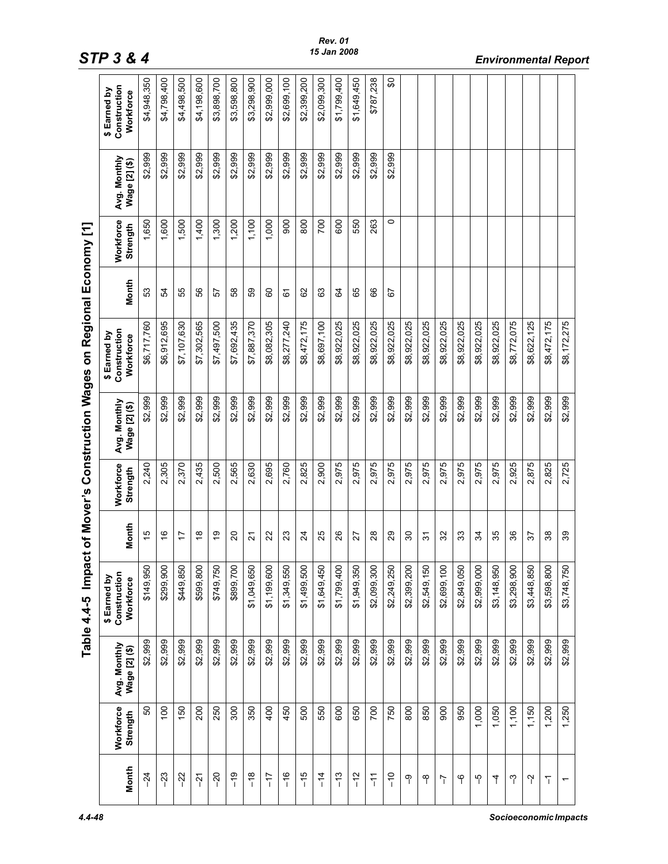|                |                       |                               | Table 4.4-5 Impact of Mover's Construction Wages on Regional Economy [1] |                |                       |                               |                                           |       |                       |                               |                                           |
|----------------|-----------------------|-------------------------------|--------------------------------------------------------------------------|----------------|-----------------------|-------------------------------|-------------------------------------------|-------|-----------------------|-------------------------------|-------------------------------------------|
| Month          | Workforce<br>Strength | Avg. Monthly<br>Wage [2] (\$) | \$ Earned by<br>Construction<br>Workforce                                | Month          | Workforce<br>Strength | Avg. Monthly<br>Wage [2] (\$) | Construction<br>\$ Earned by<br>Workforce | Month | Workforce<br>Strength | Avg. Monthly<br>Wage [2] (\$) | Construction<br>\$ Earned by<br>Workforce |
| $-24$          | 50                    | \$2,999                       | \$149,950                                                                | 15             | 2,240                 | \$2,999                       | \$6,717,760                               | 53    | 1,650                 | \$2,999                       | \$4,948,350                               |
| $-23$          | $\overline{00}$       | \$2,999                       | $\circ$<br>\$299,90                                                      | $\frac{6}{5}$  | 2,305                 | \$2,999                       | \$6,912,695                               | 54    | 1,600                 | \$2,999                       | \$4,798,400                               |
| $-22$          | 150                   | \$2,999                       | \$449,850                                                                | 17             | 2,370                 | \$2,999                       | \$7,107,630                               | 55    | 1,500                 | \$2,999                       | \$4,498,500                               |
| $\overline{5}$ | 200                   | \$2,999                       | \$599,800                                                                | $\frac{8}{1}$  | 2,435                 | \$2,999                       | \$7,302,565                               | SS    | 1,400                 | \$2,999                       | \$4,198,600                               |
| $-20$          | 250                   | \$2,999                       | \$749,750                                                                | ەب<br>         | 2,500                 | \$2,999                       | \$7,497,500                               | 57    | 1,300                 | \$2,999                       | \$3,898,700                               |
| $\frac{9}{1}$  | 300                   | \$2,999                       | $\circ$<br>\$899,70                                                      | 20             | 2,565                 | \$2,999                       | \$7,692,435                               | 89    | 1,200                 | \$2,999                       | \$3,598,800                               |
| $\frac{8}{1}$  | 350                   | \$2,999                       | \$1,049,650                                                              | 21             | 2,630                 | \$2,999                       | \$7,887,370                               | 89    | 1,100                 | \$2,999                       | \$3,298,900                               |
| $\frac{1}{2}$  | 400                   | \$2,999                       | $\circ$<br>\$1,199,60                                                    | 22             | 2,695                 | \$2,999                       | \$8,082,305                               | 8     | 1,000                 | \$2,999                       | \$2,999,000                               |
| $\frac{6}{1}$  | 450                   | \$2,999                       | \$1,349,550                                                              | 23             | 2,760                 | \$2,999                       | \$8,277,240                               | 67    | 900                   | \$2,999                       | \$2,699,100                               |
| $\frac{5}{1}$  | 500                   | \$2,999                       | \$1,499,500                                                              | $\overline{2}$ | 2,825                 | \$2,999                       | \$8,472,175                               | 8     | 800                   | \$2,999                       | \$2,399,200                               |
| $\frac{4}{1}$  | 550                   | \$2,999                       | \$1,649,450                                                              | 25             | 2,900                 | \$2,999                       | \$8,697,100                               | යි    | 700                   | \$2,999                       | \$2,099,300                               |
| $\frac{3}{1}$  | 600                   | \$2,999                       | $\circ$<br>\$1,799,40                                                    | 26             | 2,975                 | \$2,999                       | \$8,922,025                               | 3     | 600                   | \$2,999                       | \$1,799,400                               |
| $-12$          | 650                   | \$2,999                       | \$1,949,350                                                              | 27             | 2,975                 | \$2,999                       | \$8,922,025                               | 89    | 550                   | \$2,999                       | \$1,649,450                               |
| $\frac{1}{2}$  | 700                   | \$2,999                       | \$2,099,300                                                              | 28             | 2,975                 | \$2,999                       | \$8,922,025                               | 89    | 263                   | \$2,999                       | \$787,238                                 |
| $\frac{0}{1}$  | 750                   | \$2,999                       | \$2,249,250                                                              | 29             | 2,975                 | \$2,999                       | \$8,922,025                               | 5     | 0                     | \$2,999                       | ္တ                                        |
| ႁ              | 800                   | \$2,999                       | \$2,399,200                                                              | 80             | 2,975                 | \$2,999                       | \$8,922,025                               |       |                       |                               |                                           |
| ၛ              | 850                   | \$2,999                       | \$2,549,150                                                              | 5              | 2,975                 | \$2,999                       | \$8,922,025                               |       |                       |                               |                                           |
| $\overline{1}$ | 900                   | \$2,999                       | $\circ$<br>\$2,699,10                                                    | 32             | 2,975                 | \$2,999                       | \$8,922,025                               |       |                       |                               |                                           |
| မှ             | 950                   | \$2,999                       | \$2,849,050                                                              | 33             | 2,975                 | \$2,999                       | \$8,922,025                               |       |                       |                               |                                           |
| ႃၖ             | 1,000                 | \$2,999                       | \$2,999,000                                                              | 34             | 2,975                 | \$2,999                       | \$8,922,025                               |       |                       |                               |                                           |
| 7              | 1,050                 | \$2,999                       | \$3,148,950                                                              | 35             | 2,975                 | \$2,999                       | \$8,922,025                               |       |                       |                               |                                           |
| ႁ              | 1,100                 | \$2,999                       | \$3,298,900                                                              | 36             | 2,925                 | \$2,999                       | \$8,772,075                               |       |                       |                               |                                           |
| Y              | 1,150                 | \$2,999                       | \$3,448,850                                                              | 57             | 2,875                 | \$2,999                       | \$8,622,125                               |       |                       |                               |                                           |
| $\overline{1}$ | 1,200                 | \$2,999                       | $\circ$<br>\$3,598,80                                                    | 38             | 2,825                 | \$2,999                       | \$8,472,175                               |       |                       |                               |                                           |
|                | 1.250                 | \$2,999                       | \$3,748,750                                                              | 39             | 2.725                 | \$2.999                       | \$8.172.275                               |       |                       |                               |                                           |

r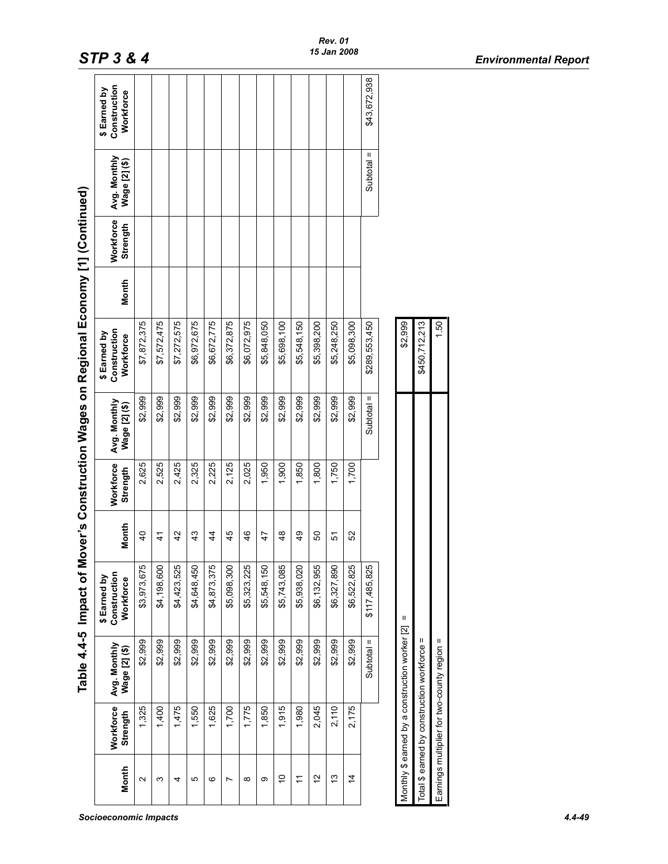|                   |                       |                                                | Table 4.4-5 Impact of                    |                 |                       |                               | Mover's Construction Wages on Regional Economy [1] (Continued) |              |                       |                               |                                           |
|-------------------|-----------------------|------------------------------------------------|------------------------------------------|-----------------|-----------------------|-------------------------------|----------------------------------------------------------------|--------------|-----------------------|-------------------------------|-------------------------------------------|
| Month             | Workforce<br>Strength | Avg. Monthly<br>Wage [2] (\$)                  | Construction<br>\$Earned by<br>Workforce | Month           | Workforce<br>Strength | Avg. Monthly<br>Wage [2] (\$) | Construction<br>\$ Earned by<br>Workforce                      | <b>Month</b> | Workforce<br>Strength | Avg. Monthly<br>Wage [2] (\$) | Construction<br>\$ Earned by<br>Workforce |
| $\mathbf{\Omega}$ | 1,325                 | \$2,999                                        | \$3,973,675                              | $\overline{40}$ | 2,625                 | \$2,999                       | \$7,872,375                                                    |              |                       |                               |                                           |
| ω                 | 1,400                 | \$2,999                                        | \$4,198,600                              | $\frac{4}{3}$   | 2,525                 | \$2,999                       | \$7,572,475                                                    |              |                       |                               |                                           |
| 4                 | 1,475                 | \$2,999                                        | \$4,423,525                              | 42              | 2,425                 | \$2,999                       | \$7,272,575                                                    |              |                       |                               |                                           |
| Ю                 | 1,550                 | \$2,999                                        | \$4,648,450                              | 43              | 2,325                 | \$2,999                       | \$6,972,675                                                    |              |                       |                               |                                           |
| ဖ                 | 1,625                 | \$2,999                                        | \$4,873,375                              | 44              | 2,225                 | \$2,999                       | \$6,672,775                                                    |              |                       |                               |                                           |
| Ľ                 | 1,700                 | \$2,999                                        | \$5,098,300                              | 45              | 2,125                 | \$2,999                       | \$6,372,875                                                    |              |                       |                               |                                           |
| $\infty$          | 1,775                 | \$2,999                                        | \$5,323,225                              | 46              | 2,025                 | \$2,999                       | \$6,072,975                                                    |              |                       |                               |                                           |
| တ                 | 1,850                 | \$2,999                                        | \$5,548,150                              | 47              | 1,950                 | \$2,999                       | \$5,848,050                                                    |              |                       |                               |                                           |
| Ş                 | 1,915                 | \$2,999                                        | \$5,743,085                              | 48              | 1,900                 | \$2,999                       | \$5,698,100                                                    |              |                       |                               |                                           |
| Ξ                 | 1,980                 | \$2,999                                        | \$5,938,020                              | $\frac{9}{4}$   | 1,850                 | \$2,999                       | \$5,548,150                                                    |              |                       |                               |                                           |
| 51                | 2,045                 | \$2,999                                        | \$6,132,955                              | 8               | 1,800                 | \$2,999                       | \$5,398,200                                                    |              |                       |                               |                                           |
| చ                 | 2,110                 | \$2,999                                        | \$6,327,89                               | 5               | 1,750                 | \$2,999                       | \$5,248,250                                                    |              |                       |                               |                                           |
| $\dot{4}$         | 2,175                 | \$2,999                                        | \$6,522,825                              | 52              | 1,700                 | \$2,999                       | \$5,098,300                                                    |              |                       |                               |                                           |
|                   |                       | Ш<br>Subtotal                                  | \$117,485,825                            |                 |                       | Subtotal =                    | \$289,553,450                                                  |              |                       | Ш<br>Subtotal                 | \$43,672,938                              |
|                   |                       |                                                |                                          |                 |                       |                               |                                                                |              |                       |                               |                                           |
|                   |                       | Monthly \$ earned by a construction worker [2] | Ш                                        |                 |                       |                               | \$2,999                                                        |              |                       |                               |                                           |
|                   |                       | Total \$ earned by construction workforce =    |                                          |                 |                       |                               | \$450,712,213                                                  |              |                       |                               |                                           |
|                   |                       | Earnings multiplier for two-county region =    |                                          |                 |                       |                               | 1.50                                                           |              |                       |                               |                                           |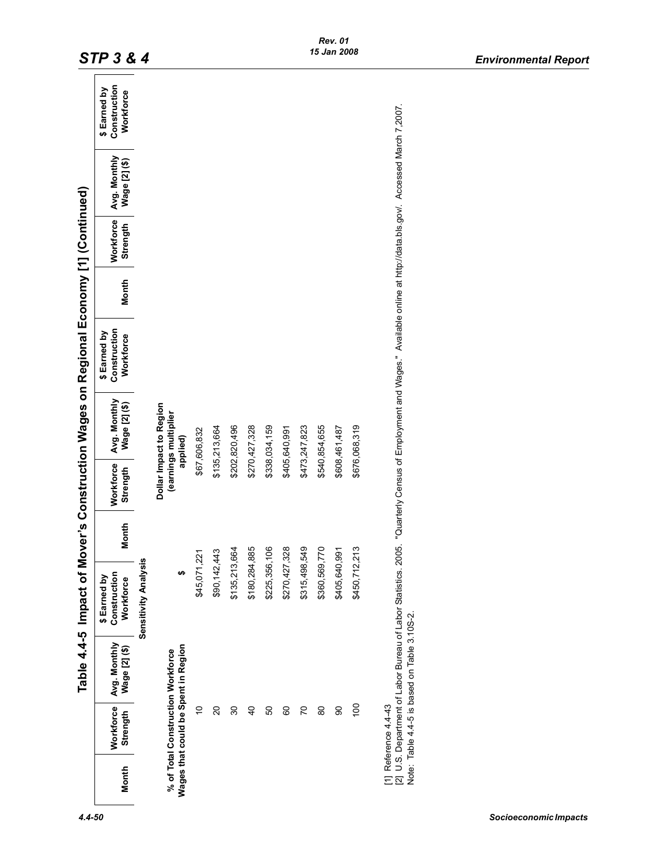|                                                                          |                              |                                              |                                           |       |                       |                                                             | Table 4.4-5 Impact of Mover's Construction Wages on Regional Economy [1] (Continued)                                                                                        |       |                       |                               |                                           |
|--------------------------------------------------------------------------|------------------------------|----------------------------------------------|-------------------------------------------|-------|-----------------------|-------------------------------------------------------------|-----------------------------------------------------------------------------------------------------------------------------------------------------------------------------|-------|-----------------------|-------------------------------|-------------------------------------------|
| Month                                                                    | <b>Workforce</b><br>Strength | Avg. Monthly<br>Wage [2] (\$)                | Construction<br>\$ Earned by<br>Workforce | Month | Workforce<br>Strength | Avg. Monthly<br>Wage [2] (\$)                               | Construction<br>\$ Earned by<br>Workforce                                                                                                                                   | Month | Workforce<br>Strength | Avg. Monthly<br>Wage [2] (\$) | Construction<br>\$ Earned by<br>Workforce |
|                                                                          |                              |                                              | Sensitivity Analysis                      |       |                       |                                                             |                                                                                                                                                                             |       |                       |                               |                                           |
| Wages that could be Spent in Region<br>% of Total Construction Workforce |                              |                                              |                                           |       |                       | Dollar Impact to Region<br>(earnings multiplier<br>applied) |                                                                                                                                                                             |       |                       |                               |                                           |
|                                                                          | ₽                            |                                              | \$45,071,221                              |       |                       | \$67,606,832                                                |                                                                                                                                                                             |       |                       |                               |                                           |
|                                                                          | 20                           |                                              | \$90,142,443                              |       |                       | \$135,213,664                                               |                                                                                                                                                                             |       |                       |                               |                                           |
|                                                                          | 8                            |                                              | \$135,213,664                             |       |                       | \$202,820,496                                               |                                                                                                                                                                             |       |                       |                               |                                           |
|                                                                          | $\overline{4}$               |                                              | \$180,284,885                             |       |                       | \$270,427,328                                               |                                                                                                                                                                             |       |                       |                               |                                           |
|                                                                          | 8                            |                                              | \$225,356,106                             |       |                       | \$338,034,159                                               |                                                                                                                                                                             |       |                       |                               |                                           |
|                                                                          | 80                           |                                              | \$270,427,328                             |       |                       | \$405,640,991                                               |                                                                                                                                                                             |       |                       |                               |                                           |
|                                                                          | 50                           |                                              | \$315,498,549                             |       |                       | \$473,247,823                                               |                                                                                                                                                                             |       |                       |                               |                                           |
|                                                                          | 80                           |                                              | \$360,569,770                             |       |                       | \$540,854,655                                               |                                                                                                                                                                             |       |                       |                               |                                           |
|                                                                          | 8                            |                                              | \$405,640,991                             |       |                       | \$608,461,487                                               |                                                                                                                                                                             |       |                       |                               |                                           |
|                                                                          | $\overline{100}$             |                                              | \$450,712,213                             |       |                       | \$676,068,319                                               |                                                                                                                                                                             |       |                       |                               |                                           |
| [1] Reference 4.4-43                                                     |                              | Note: Table 4.4-5 is based on Table 3.10S-2. |                                           |       |                       |                                                             | [2] U.S. Department of Labor Bureau of Labor Statistics. 2005. "Quarterly Census of Employment and Wages." Available online at http://data.bls.gov/. Accessed March 7,2007. |       |                       |                               |                                           |